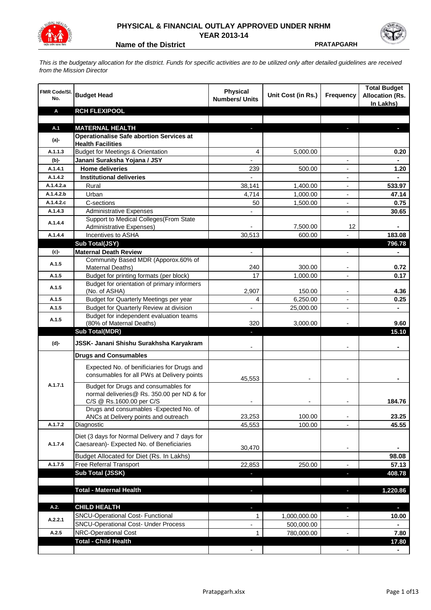

## **PHYSICAL & FINANCIAL OUTLAY APPROVED UNDER NRHM YEAR 2013-14**

**Name of the District Contract Contract PRATAPGARH** 

*This is the budgetary allocation for the district. Funds for specific activities are to be utilized only after detailed guidelines are received from the Mission Director*

| FMR Code/SI.<br>No. | <b>Budget Head</b>                                                                                             | Physical<br><b>Numbers/ Units</b> | Unit Cost (in Rs.) | <b>Frequency</b>         | <b>Total Budget</b><br><b>Allocation (Rs.</b><br>In Lakhs) |
|---------------------|----------------------------------------------------------------------------------------------------------------|-----------------------------------|--------------------|--------------------------|------------------------------------------------------------|
| Α                   | <b>RCH FLEXIPOOL</b>                                                                                           |                                   |                    |                          |                                                            |
|                     |                                                                                                                |                                   |                    |                          |                                                            |
| A.1                 | <b>MATERNAL HEALTH</b>                                                                                         |                                   |                    |                          |                                                            |
| $(a)$ -             | <b>Operationalise Safe abortion Services at</b><br><b>Health Facilities</b>                                    |                                   |                    |                          |                                                            |
| A.1.1.3             | <b>Budget for Meetings &amp; Orientation</b>                                                                   | 4                                 | 5,000.00           |                          | 0.20                                                       |
| (b)-                | Janani Suraksha Yojana / JSY                                                                                   |                                   |                    |                          |                                                            |
| A.1.4.1             | <b>Home deliveries</b>                                                                                         | 239                               | 500.00             |                          | 1.20                                                       |
| A.1.4.2             | <b>Institutional deliveries</b>                                                                                |                                   |                    |                          |                                                            |
| A.1.4.2.a           | Rural                                                                                                          | 38,141                            | 1,400.00           |                          | 533.97                                                     |
| A.1.4.2.b           | Urban                                                                                                          | 4,714                             | 1,000.00           | $\overline{\phantom{a}}$ | 47.14                                                      |
| A.1.4.2.c           | C-sections                                                                                                     | 50                                | 1,500.00           | $\overline{\phantom{a}}$ | 0.75                                                       |
| A.1.4.3             | <b>Administrative Expenses</b>                                                                                 |                                   |                    | $\overline{a}$           | 30.65                                                      |
|                     | Support to Medical Colleges(From State                                                                         |                                   |                    |                          |                                                            |
| A.1.4.4             | Administrative Expenses)                                                                                       |                                   | 7,500.00           | 12                       |                                                            |
| A.1.4.4             | Incentives to ASHA                                                                                             | 30,513                            | 600.00             |                          | 183.08                                                     |
|                     | Sub Total(JSY)                                                                                                 |                                   |                    |                          | 796.78                                                     |
| (c)-                | <b>Maternal Death Review</b>                                                                                   | $\overline{\phantom{a}}$          |                    | $\overline{\phantom{a}}$ |                                                            |
| A.1.5               | Community Based MDR (Apporox.60% of<br>Maternal Deaths)                                                        | 240                               | 300.00             |                          | 0.72                                                       |
| A.1.5               | Budget for printing formats (per block)                                                                        | 17                                | 1,000.00           |                          | 0.17                                                       |
| A.1.5               | Budget for orientation of primary informers<br>(No. of ASHA)                                                   | 2,907                             | 150.00             |                          | 4.36                                                       |
| A.1.5               | Budget for Quarterly Meetings per year                                                                         | 4                                 | 6,250.00           |                          | 0.25                                                       |
| A.1.5               | Budget for Quarterly Review at division                                                                        |                                   | 25,000.00          |                          |                                                            |
| A.1.5               | Budget for independent evaluation teams                                                                        |                                   |                    |                          |                                                            |
|                     | (80% of Maternal Deaths)                                                                                       | 320                               | 3,000.00           |                          | 9.60                                                       |
|                     | <b>Sub Total(MDR)</b>                                                                                          |                                   |                    |                          | 15.10                                                      |
| (d)-                | JSSK- Janani Shishu Surakhsha Karyakram                                                                        |                                   |                    |                          |                                                            |
|                     | <b>Drugs and Consumables</b>                                                                                   |                                   |                    |                          |                                                            |
|                     | Expected No. of benificiaries for Drugs and<br>consumables for all PWs at Delivery points                      | 45,553                            |                    |                          |                                                            |
| A.1.7.1             | Budget for Drugs and consumables for<br>normal deliveries@ Rs. 350.00 per ND & for<br>C/S @ Rs.1600.00 per C/S |                                   |                    |                          | 184.76                                                     |
|                     | Drugs and consumables - Expected No. of                                                                        |                                   |                    |                          |                                                            |
|                     | ANCs at Delivery points and outreach                                                                           | 23,253                            | 100.00             |                          | 23.25                                                      |
| A.1.7.2             | Diagnostic                                                                                                     | 45,553                            | 100.00             |                          | 45.55                                                      |
| A.1.7.4             | Diet (3 days for Normal Delivery and 7 days for<br>Caesarean)- Expected No. of Beneficiaries                   |                                   |                    |                          |                                                            |
|                     |                                                                                                                | 30,470                            |                    | $\overline{\phantom{a}}$ |                                                            |
|                     | Budget Allocated for Diet (Rs. In Lakhs)                                                                       |                                   |                    |                          | 98.08                                                      |
| A.1.7.5             | Free Referral Transport                                                                                        | 22,853                            | 250.00             | $\overline{\phantom{a}}$ | 57.13                                                      |
|                     | Sub Total (JSSK)                                                                                               |                                   |                    | J,                       | 408.78                                                     |
|                     |                                                                                                                |                                   |                    |                          |                                                            |
|                     | <b>Total - Maternal Health</b>                                                                                 |                                   |                    |                          | 1,220.86                                                   |
| A.2.                | <b>CHILD HEALTH</b>                                                                                            |                                   |                    |                          | н.                                                         |
| A.2.2.1             | SNCU-Operational Cost- Functional                                                                              | 1                                 | 1,000,000.00       |                          | 10.00                                                      |
|                     | <b>SNCU-Operational Cost- Under Process</b>                                                                    |                                   | 500,000.00         |                          |                                                            |
| A.2.5               | NRC-Operational Cost                                                                                           | $\mathbf{1}$                      | 780,000.00         |                          | 7.80                                                       |
|                     | <b>Total - Child Health</b>                                                                                    |                                   |                    |                          | 17.80                                                      |
|                     |                                                                                                                |                                   |                    |                          |                                                            |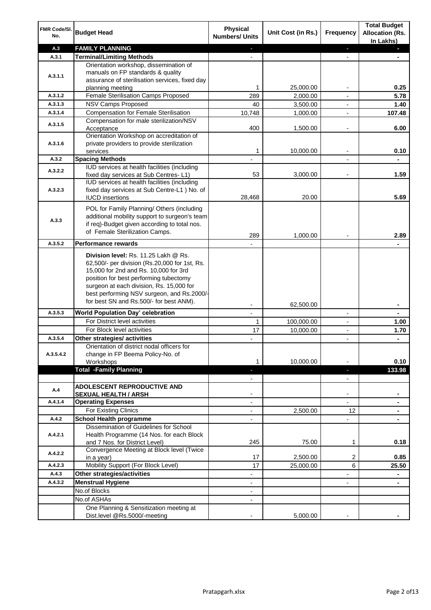| FMR Code/SI.<br>No.  | <b>Budget Head</b>                                                                                                                                                                                                                                                                                            | <b>Physical</b><br><b>Numbers/ Units</b>             | Unit Cost (in Rs.) | <b>Frequency</b>              | <b>Total Budget</b><br><b>Allocation (Rs.</b><br>In Lakhs) |
|----------------------|---------------------------------------------------------------------------------------------------------------------------------------------------------------------------------------------------------------------------------------------------------------------------------------------------------------|------------------------------------------------------|--------------------|-------------------------------|------------------------------------------------------------|
| A.3                  | <b>FAMILY PLANNING</b>                                                                                                                                                                                                                                                                                        | $\sim$                                               |                    | $\blacksquare$                | $\sim$                                                     |
| A.3.1                | <b>Terminal/Limiting Methods</b>                                                                                                                                                                                                                                                                              |                                                      |                    |                               |                                                            |
| A.3.1.1              | Orientation workshop, dissemination of<br>manuals on FP standards & quality<br>assurance of sterilisation services, fixed day<br>planning meeting                                                                                                                                                             | 1                                                    | 25,000.00          | $\overline{\phantom{a}}$      | 0.25                                                       |
| A.3.1.2              | Female Sterilisation Camps Proposed                                                                                                                                                                                                                                                                           | 289                                                  | 2,000.00           |                               | 5.78                                                       |
| A.3.1.3              | <b>NSV Camps Proposed</b>                                                                                                                                                                                                                                                                                     | 40                                                   | 3,500.00           |                               | 1.40                                                       |
| A.3.1.4              | <b>Compensation for Female Sterilisation</b>                                                                                                                                                                                                                                                                  | 10,748                                               | 1,000.00           | $\overline{\phantom{a}}$      | 107.48                                                     |
| A.3.1.5              | Compensation for male sterilization/NSV<br>Acceptance                                                                                                                                                                                                                                                         | 400                                                  | 1,500.00           |                               | 6.00                                                       |
| A.3.1.6              | Orientation Workshop on accreditation of<br>private providers to provide sterilization<br>services                                                                                                                                                                                                            | 1                                                    | 10,000.00          | $\blacksquare$                | 0.10                                                       |
| A.3.2                | <b>Spacing Methods</b>                                                                                                                                                                                                                                                                                        |                                                      |                    |                               | ۰                                                          |
| A.3.2.2              | IUD services at health facilities (including<br>fixed day services at Sub Centres-L1)                                                                                                                                                                                                                         | 53                                                   | 3,000.00           | $\overline{\phantom{a}}$      | 1.59                                                       |
| A.3.2.3              | IUD services at health facilities (including<br>fixed day services at Sub Centre-L1 ) No. of<br><b>IUCD</b> insertions                                                                                                                                                                                        | 28,468                                               | 20.00              |                               | 5.69                                                       |
| A.3.3                | POL for Family Planning/ Others (including<br>additional mobility support to surgeon's team<br>if req)-Budget given according to total nos.<br>of Female Sterilization Camps.                                                                                                                                 | 289                                                  | 1,000.00           |                               | 2.89                                                       |
| A.3.5.2              | <b>Performance rewards</b>                                                                                                                                                                                                                                                                                    |                                                      |                    |                               |                                                            |
|                      | Division level: Rs. 11.25 Lakh @ Rs.<br>62,500/- per division (Rs.20,000 for 1st, Rs.<br>15,000 for 2nd and Rs. 10,000 for 3rd<br>position for best performing tubectomy<br>surgeon at each division, Rs. 15,000 for<br>best performing NSV surgeon, and Rs.2000/-<br>for best SN and Rs.500/- for best ANM). |                                                      |                    |                               |                                                            |
|                      |                                                                                                                                                                                                                                                                                                               |                                                      | 62,500.00          |                               | ۰                                                          |
| A.3.5.3              | World Population Day' celebration                                                                                                                                                                                                                                                                             |                                                      |                    |                               |                                                            |
|                      | For District level activities                                                                                                                                                                                                                                                                                 | 1                                                    | 100,000.00         |                               | 1.00                                                       |
|                      | For Block level activities<br>Other strategies/ activities                                                                                                                                                                                                                                                    | 17                                                   | 10,000.00          | $\blacksquare$                | 1.70                                                       |
| A.3.5.4<br>A.3.5.4.2 | Orientation of district nodal officers for<br>change in FP Beema Policy-No. of<br>Workshops                                                                                                                                                                                                                   | 1                                                    | 10,000.00          |                               | 0.10                                                       |
|                      | <b>Total -Family Planning</b>                                                                                                                                                                                                                                                                                 | $\overline{\phantom{a}}$<br>$\overline{\phantom{a}}$ |                    | ٠<br>$\overline{\phantom{a}}$ | 133.98                                                     |
| A.4                  | ADOLESCENT REPRODUCTIVE AND<br><b>SEXUAL HEALTH / ARSH</b>                                                                                                                                                                                                                                                    |                                                      |                    | $\blacksquare$                |                                                            |
| A.4.1.4              | <b>Operating Expenses</b>                                                                                                                                                                                                                                                                                     |                                                      |                    |                               |                                                            |
|                      | For Existing Clinics                                                                                                                                                                                                                                                                                          | $\blacksquare$                                       | 2,500.00           | 12                            | ۰                                                          |
| A.4.2                | <b>School Health programme</b>                                                                                                                                                                                                                                                                                | $\blacksquare$                                       |                    | $\overline{a}$                |                                                            |
| A.4.2.1              | Dissemination of Guidelines for School<br>Health Programme (14 Nos. for each Block<br>and 7 Nos. for District Level)                                                                                                                                                                                          | 245                                                  | 75.00              | 1                             | 0.18                                                       |
| A.4.2.2              | Convergence Meeting at Block level (Twice<br>in a year)                                                                                                                                                                                                                                                       | 17                                                   | 2,500.00           | 2                             | 0.85                                                       |
| A.4.2.3              | Mobility Support (For Block Level)                                                                                                                                                                                                                                                                            | 17                                                   | 25,000.00          | 6                             | 25.50                                                      |
| A.4.3                | Other strategies/activities                                                                                                                                                                                                                                                                                   | $\overline{\phantom{0}}$                             |                    | -                             | ۰                                                          |
| A.4.3.2              | <b>Menstrual Hygiene</b>                                                                                                                                                                                                                                                                                      | $\overline{\phantom{a}}$                             |                    | ٠                             | ٠                                                          |
|                      | No.of Blocks                                                                                                                                                                                                                                                                                                  | $\overline{\phantom{a}}$                             |                    |                               |                                                            |
|                      | No.of ASHAs                                                                                                                                                                                                                                                                                                   | $\overline{\phantom{a}}$                             |                    |                               |                                                            |
|                      | One Planning & Sensitization meeting at<br>Dist.level @Rs.5000/-meeting                                                                                                                                                                                                                                       |                                                      | 5,000.00           |                               |                                                            |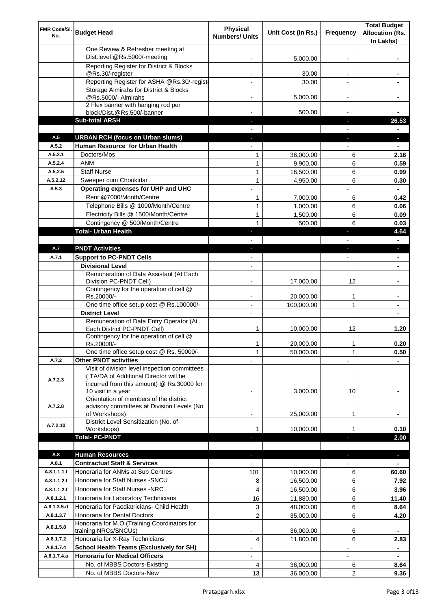| FMR Code/SI.<br>No. | <b>Budget Head</b>                                                                                       | <b>Physical</b><br><b>Numbers/ Units</b> | Unit Cost (in Rs.)    | Frequency                | <b>Total Budget</b><br><b>Allocation (Rs.</b><br>In Lakhs) |
|---------------------|----------------------------------------------------------------------------------------------------------|------------------------------------------|-----------------------|--------------------------|------------------------------------------------------------|
|                     | One Review & Refresher meeting at<br>Dist.level @Rs.5000/-meeting                                        |                                          | 5,000.00              |                          |                                                            |
|                     | Reporting Register for District & Blocks                                                                 |                                          |                       |                          |                                                            |
|                     | @Rs.30/-register                                                                                         |                                          | 30.00                 |                          |                                                            |
|                     | Reporting Register for ASHA @Rs.30/-regist                                                               |                                          | 30.00                 |                          |                                                            |
|                     | Storage Almirahs for District & Blocks<br>@Rs.5000/- Almirahs                                            | $\blacksquare$                           | 5,000.00              | $\overline{\phantom{a}}$ |                                                            |
|                     | 2 Flex banner with hanging rod per                                                                       |                                          |                       |                          |                                                            |
|                     | block/Dist.@Rs.500/-banner                                                                               |                                          | 500.00                |                          |                                                            |
|                     | <b>Sub-total ARSH</b>                                                                                    |                                          |                       | P.                       | 26.53                                                      |
| A.5                 | <b>URBAN RCH (focus on Urban slums)</b>                                                                  |                                          |                       |                          | н                                                          |
| A.5.2               | Human Resource for Urban Health                                                                          |                                          |                       |                          |                                                            |
| A.5.2.1             | Doctors/Mos                                                                                              | 1                                        | 36,000.00             | 6                        | 2.16                                                       |
| A.5.2.4<br>A.5.2.5  | <b>ANM</b><br><b>Staff Nurse</b>                                                                         | 1<br>1                                   | 9,900.00              | 6<br>6                   | 0.59<br>0.99                                               |
| A.5.2.12            | Sweeper cum Choukidar                                                                                    | $\mathbf{1}$                             | 16,500.00<br>4,950.00 | 6                        | 0.30                                                       |
| A.5.3               | Operating expenses for UHP and UHC                                                                       |                                          |                       |                          | $\blacksquare$                                             |
|                     | Rent @7000/Month/Centre                                                                                  | 1                                        | 7,000.00              | 6                        | 0.42                                                       |
|                     | Telephone Bills @ 1000/Month/Centre                                                                      | $\mathbf{1}$                             | 1,000.00              | 6                        | 0.06                                                       |
|                     | Electricity Bills @ 1500/Month/Centre                                                                    | $\mathbf{1}$                             | 1,500.00              | 6                        | 0.09                                                       |
|                     | Contingency @ 500/Month/Centre                                                                           | $\mathbf{1}$                             | 500.00                | 6                        | 0.03                                                       |
|                     | <b>Total- Urban Health</b>                                                                               | $\overline{\phantom{a}}$                 |                       | F                        | 4.64                                                       |
|                     |                                                                                                          |                                          |                       |                          | $\blacksquare$                                             |
| A.7                 | <b>PNDT Activities</b>                                                                                   | $\blacksquare$                           |                       | ٠                        | ×.                                                         |
| A.7.1               | <b>Support to PC-PNDT Cells</b><br><b>Divisional Level</b>                                               | $\overline{\phantom{a}}$                 |                       | $\overline{\phantom{a}}$ | ٠                                                          |
|                     | Remuneration of Data Assistant (At Each                                                                  | $\blacksquare$                           |                       |                          | ۰                                                          |
|                     | Division PC-PNDT Cell)                                                                                   |                                          | 17,000.00             | 12                       |                                                            |
|                     | Contingency for the operation of cell @<br>Rs.20000/-                                                    |                                          | 20,000.00             | 1                        |                                                            |
|                     | One time office setup cost @ Rs.100000/-                                                                 |                                          | 100,000.00            | 1                        |                                                            |
|                     | <b>District Level</b><br>Remuneration of Data Entry Operator (At                                         | $\blacksquare$                           |                       |                          |                                                            |
|                     | Each District PC-PNDT Cell)                                                                              | 1                                        | 10,000.00             | 12                       | 1.20                                                       |
|                     | Contingency for the operation of cell @<br>Rs.20000/-                                                    | 1                                        | 20,000.00             | 1                        | 0.20                                                       |
|                     | One time office setup cost @ Rs. 50000/-                                                                 | $\mathbf{1}$                             | 50,000.00             | 1                        | 0.50                                                       |
| A.7.2               | <b>Other PNDT activities</b><br>Visit of division level inspection committees                            |                                          |                       |                          |                                                            |
| A.7.2.3             | (TA/DA of Additional Director will be<br>incurred from this amount) @ Rs.30000 for<br>10 visit in a year |                                          | 3,000.00              | 10                       |                                                            |
| A.7.2.8             | Orientation of members of the district<br>advisory committees at Division Levels (No.<br>of Workshops)   | $\overline{\phantom{a}}$                 | 25,000.00             | 1                        |                                                            |
| A.7.2.10            | District Level Sensitization (No. of<br>Workshops)                                                       |                                          | 10,000.00             | 1                        | 0.10                                                       |
|                     | <b>Total- PC-PNDT</b>                                                                                    |                                          |                       |                          | 2.00                                                       |
|                     |                                                                                                          |                                          |                       |                          |                                                            |
| A.8<br>A.8.1        | <b>Human Resources</b><br><b>Contractual Staff &amp; Services</b>                                        |                                          |                       |                          | ÷.                                                         |
| A.8.1.1.1.f         | Honoraria for ANMs at Sub Centres                                                                        | 101                                      | 10,000.00             | 6                        | 60.60                                                      |
| A.8.1.1.2.f         | Honoraria for Staff Nurses - SNCU                                                                        | 8                                        | 16,500.00             | 6                        | 7.92                                                       |
| A.8.1.1.2.f         | Honoraria for Staff Nurses -NRC                                                                          | 4                                        | 16,500.00             | 6                        | 3.96                                                       |
| A.8.1.2.1           | Honoraria for Laboratory Technicians                                                                     | 16                                       | 11,880.00             | 6                        | 11.40                                                      |
| A.8.1.3.5.d         | Honoraria for Paediatricians- Child Health                                                               | 3                                        | 48,000.00             | 6                        | 8.64                                                       |
| A.8.1.3.7           | Honoraria for Dental Doctors                                                                             | $\overline{2}$                           | 35,000.00             | 6                        | 4.20                                                       |
| A.8.1.5.8           | Honoraria for M.O.(Training Coordinators for<br>training NRCs/SNCUs)                                     |                                          | 36,000.00             | 6                        |                                                            |
| A.8.1.7.2           | Honoraria for X-Ray Technicians                                                                          | 4                                        | 11,800.00             | 6                        | 2.83                                                       |
| A.8.1.7.4           | <b>School Health Teams (Exclusively for SH)</b>                                                          |                                          |                       |                          | ۰                                                          |
| A.8.1.7.4.a         | <b>Honoraria for Medical Officers</b>                                                                    | ۰                                        |                       |                          |                                                            |
|                     | No. of MBBS Doctors-Existing                                                                             | 4                                        | 36,000.00             | 6                        | 8.64                                                       |
|                     | No. of MBBS Doctors-New                                                                                  | 13                                       | 36,000.00             | $\overline{2}$           | 9.36                                                       |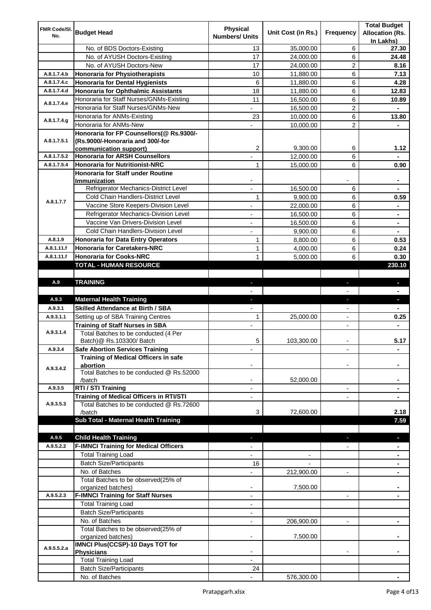| FMR Code/SI. |                                                              | <b>Physical</b>          |                    |                          | <b>Total Budget</b>    |
|--------------|--------------------------------------------------------------|--------------------------|--------------------|--------------------------|------------------------|
| No.          | <b>Budget Head</b>                                           | <b>Numbers/ Units</b>    | Unit Cost (in Rs.) | Frequency                | <b>Allocation (Rs.</b> |
|              |                                                              |                          |                    |                          | In Lakhs)              |
|              | No. of BDS Doctors-Existing                                  | 13                       | 35,000.00          | 6                        | 27.30                  |
|              | No. of AYUSH Doctors-Existing                                | 17                       | 24,000.00          | 6                        | 24.48                  |
|              | No. of AYUSH Doctors-New                                     | 17                       | 24,000.00          | 2                        | 8.16                   |
| A.8.1.7.4.b  | <b>Honoraria for Physiotherapists</b>                        | 10                       | 11,880.00          | 6                        | 7.13                   |
| A.8.1.7.4.c  | <b>Honoraria for Dental Hygienists</b>                       | 6                        | 11,880.00          | 6                        | 4.28                   |
| A.8.1.7.4.d  | <b>Honoraria for Ophthalmic Assistants</b>                   | 18                       | 11,880.00          | 6                        | 12.83                  |
| A.8.1.7.4.e  | Honoraria for Staff Nurses/GNMs-Existing                     | 11                       | 16,500.00          | 6                        | 10.89                  |
|              | Honoraria for Staff Nurses/GNMs-New                          |                          | 16,500.00          | $\overline{c}$           |                        |
| A.8.1.7.4.g  | Honoraria for ANMs-Existing                                  | 23                       | 10,000.00          | 6                        | 13.80                  |
|              | Honoraria for ANMs-New                                       |                          | 10,000.00          | 2                        |                        |
|              | Honoraria for FP Counsellors(@ Rs.9300/-                     |                          |                    |                          |                        |
| A.8.1.7.5.1  | (Rs.9000/-Honoraria and 300/-for                             |                          |                    |                          |                        |
|              | communication support)                                       | 2                        | 9,300.00           | 6                        | 1.12                   |
| A.8.1.7.5.2  | <b>Honoraria for ARSH Counsellors</b>                        |                          | 12,000.00          | 6                        |                        |
| A.8.1.7.5.4  | <b>Honoraria for Nutritionist-NRC</b>                        | 1                        | 15,000.00          | 6                        | 0.90                   |
|              | <b>Honoraria for Staff under Routine</b>                     |                          |                    |                          |                        |
|              | Immunization                                                 |                          |                    |                          |                        |
|              | Refrigerator Mechanics-District Level                        | $\overline{a}$           | 16,500.00          | 6                        |                        |
| A.8.1.7.7    | Cold Chain Handlers-District Level                           | 1                        | 9,900.00           | 6                        | 0.59                   |
|              | Vaccine Store Keepers-Division Level                         |                          | 22,000.00          | 6                        |                        |
|              | Refrigerator Mechanics-Division Level                        | $\blacksquare$           | 16,500.00          | 6                        | ۰                      |
|              | Vaccine Van Drivers-Division Level                           | ÷,                       | 16,500.00          | 6                        | ۰                      |
|              | Cold Chain Handlers-Division Level                           | $\overline{\phantom{a}}$ | 9,900.00           | 6                        | ۰                      |
| A.8.1.9      | <b>Honoraria for Data Entry Operators</b>                    | 1                        | 8,800.00           | 6                        | 0.53                   |
| A.8.1.11.f   | <b>Honoraria for Caretakers-NRC</b>                          | $\mathbf{1}$             | 4,000.00           | 6                        | 0.24                   |
| A.8.1.11.f   | <b>Honoraria for Cooks-NRC</b>                               | $\mathbf{1}$             | 5,000.00           | 6                        | 0.30                   |
|              | TOTAL - HUMAN RESOURCE                                       |                          |                    |                          | 230.10                 |
|              |                                                              |                          |                    |                          |                        |
| A.9          | <b>TRAINING</b>                                              | ٠                        |                    | ٠                        | ٠                      |
|              |                                                              |                          |                    |                          |                        |
| A.9.3        | <b>Maternal Health Training</b>                              | ٠                        |                    | ٠                        | ٠                      |
|              | <b>Skilled Attendance at Birth / SBA</b>                     |                          |                    |                          |                        |
| A.9.3.1      |                                                              |                          |                    |                          |                        |
| A.9.3.1.1    | Setting up of SBA Training Centres                           | 1                        | 25,000.00          | $\overline{\phantom{a}}$ | 0.25                   |
|              | <b>Training of Staff Nurses in SBA</b>                       | $\overline{\phantom{a}}$ |                    | $\overline{\phantom{0}}$ |                        |
| A.9.3.1.4    | Total Batches to be conducted (4 Per                         |                          |                    |                          |                        |
|              | Batch) @ Rs.103300/ Batch                                    | 5                        | 103,300.00         |                          | 5.17                   |
| A.9.3.4      | <b>Safe Abortion Services Training</b>                       |                          |                    |                          |                        |
|              | Training of Medical Officers in safe                         |                          |                    |                          |                        |
| A.9.3.4.2    | abortion                                                     |                          |                    |                          |                        |
|              | Total Batches to be conducted @ Rs.52000                     |                          |                    |                          |                        |
|              | /batch                                                       |                          | 52,000.00          |                          |                        |
| A.9.3.5      | RTI / STI Training                                           |                          |                    | $\overline{a}$           |                        |
|              | Training of Medical Officers in RTI/STI                      |                          |                    |                          |                        |
| A.9.3.5.3    | Total Batches to be conducted @ Rs.72600                     |                          |                    |                          |                        |
|              | /batch                                                       | 3                        | 72,600.00          |                          | 2.18                   |
|              | Sub Total - Maternal Health Training                         |                          |                    |                          | 7.59                   |
|              |                                                              |                          |                    |                          |                        |
| A.9.5        | <b>Child Health Training</b>                                 |                          |                    |                          |                        |
| A.9.5.2.2    | <b>F-IMNCI Training for Medical Officers</b>                 |                          |                    |                          |                        |
|              | <b>Total Training Load</b>                                   |                          |                    |                          |                        |
|              | <b>Batch Size/Participants</b>                               | 16                       |                    |                          |                        |
|              | No. of Batches                                               |                          | 212,900.00         | $\overline{a}$           |                        |
|              | Total Batches to be observed(25% of                          |                          |                    |                          |                        |
|              | organized batches)                                           | $\overline{\phantom{a}}$ | 7,500.00           |                          |                        |
| A.9.5.2.3    | <b>F-IMNCI Training for Staff Nurses</b>                     | $\overline{\phantom{a}}$ |                    | $\overline{\phantom{a}}$ | ۰                      |
|              | <b>Total Training Load</b>                                   | $\overline{\phantom{a}}$ |                    |                          |                        |
|              | <b>Batch Size/Participants</b>                               |                          |                    |                          |                        |
|              | No. of Batches                                               | $\overline{\phantom{a}}$ | 206,900.00         | $\overline{\phantom{a}}$ | ۰                      |
|              | Total Batches to be observed(25% of                          |                          |                    |                          |                        |
|              | organized batches)                                           |                          | 7,500.00           |                          |                        |
| A.9.5.5.2.a  | IMNCI Plus(CCSP)-10 Days TOT for                             |                          |                    |                          |                        |
|              | <b>Physicians</b>                                            |                          |                    |                          |                        |
|              | <b>Total Training Load</b><br><b>Batch Size/Participants</b> | 24                       |                    |                          |                        |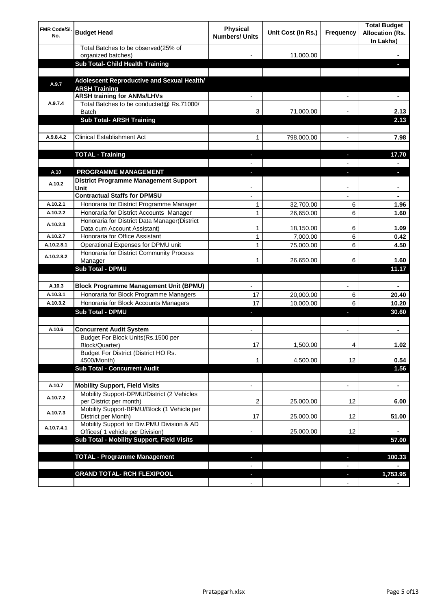| <b>FMR Code/SI.</b><br>No. | <b>Budget Head</b>                                                                      | Physical<br><b>Numbers/ Units</b> | Unit Cost (in Rs.) | Frequency                     | <b>Total Budget</b><br><b>Allocation (Rs.</b><br>In Lakhs) |
|----------------------------|-----------------------------------------------------------------------------------------|-----------------------------------|--------------------|-------------------------------|------------------------------------------------------------|
|                            | Total Batches to be observed(25% of<br>organized batches)                               |                                   | 11,000.00          |                               |                                                            |
|                            | Sub Total- Child Health Training                                                        |                                   |                    |                               |                                                            |
|                            |                                                                                         |                                   |                    |                               |                                                            |
| A.9.7                      | Adolescent Reproductive and Sexual Health/<br><b>ARSH Training</b>                      |                                   |                    |                               |                                                            |
|                            | <b>ARSH training for ANMs/LHVs</b>                                                      |                                   |                    |                               |                                                            |
| A.9.7.4                    | Total Batches to be conducted@ Rs.71000/<br>Batch                                       | 3                                 | 71,000.00          |                               | 2.13                                                       |
|                            | <b>Sub Total- ARSH Training</b>                                                         |                                   |                    |                               | 2.13                                                       |
|                            |                                                                                         |                                   |                    |                               |                                                            |
| A.9.8.4.2                  | <b>Clinical Establishment Act</b>                                                       | 1                                 | 798,000.00         |                               | 7.98                                                       |
|                            | <b>TOTAL - Training</b>                                                                 |                                   |                    |                               | 17.70                                                      |
|                            |                                                                                         |                                   |                    |                               |                                                            |
| A.10                       | <b>PROGRAMME MANAGEMENT</b>                                                             |                                   |                    |                               |                                                            |
| A.10.2                     | <b>District Programme Management Support</b><br>Unit                                    |                                   |                    |                               |                                                            |
|                            | <b>Contractual Staffs for DPMSU</b>                                                     |                                   |                    |                               | ٠                                                          |
| A.10.2.1                   | Honoraria for District Programme Manager                                                | 1                                 | 32,700.00          | 6                             | 1.96                                                       |
| A.10.2.2                   | Honoraria for District Accounts Manager                                                 | 1                                 | 26,650.00          | 6                             | 1.60                                                       |
| A.10.2.3                   | Honoraria for District Data Manager(District<br>Data cum Account Assistant)             | 1                                 | 18,150.00          | 6                             | 1.09                                                       |
| A.10.2.7                   | Honoraria for Office Assistant                                                          | 1                                 | 7,000.00           | 6                             | 0.42                                                       |
| A.10.2.8.1                 | Operational Expenses for DPMU unit                                                      | 1                                 | 75,000.00          | 6                             | 4.50                                                       |
| A.10.2.8.2                 | Honoraria for District Community Process                                                |                                   |                    |                               |                                                            |
|                            | Manager                                                                                 | 1                                 | 26,650.00          | 6                             | 1.60                                                       |
|                            | <b>Sub Total - DPMU</b>                                                                 |                                   |                    |                               | 11.17                                                      |
|                            |                                                                                         |                                   |                    |                               |                                                            |
| A.10.3<br>A.10.3.1         | <b>Block Programme Management Unit (BPMU)</b><br>Honoraria for Block Programme Managers | 17                                | 20,000.00          | $\overline{\phantom{a}}$<br>6 | $\blacksquare$<br>20.40                                    |
| A.10.3.2                   | Honoraria for Block Accounts Managers                                                   | 17                                | 10,000.00          | 6                             | 10.20                                                      |
|                            | <b>Sub Total - DPMU</b>                                                                 | L                                 |                    | r                             | 30.60                                                      |
|                            |                                                                                         |                                   |                    |                               |                                                            |
| A.10.6                     | <b>Concurrent Audit System</b>                                                          |                                   |                    |                               | ٠                                                          |
|                            | Budget For Block Units(Rs.1500 per<br>Block/Quarter)                                    | 17                                | 1,500.00           |                               | 1.02                                                       |
|                            | Budget For District (District HO Rs.                                                    |                                   |                    |                               |                                                            |
|                            | 4500/Month)<br><b>Sub Total - Concurrent Audit</b>                                      | 1                                 | 4,500.00           | 12                            | 0.54                                                       |
|                            |                                                                                         |                                   |                    |                               | 1.56                                                       |
| A.10.7                     | <b>Mobility Support, Field Visits</b>                                                   |                                   |                    | $\overline{\phantom{a}}$      | $\blacksquare$                                             |
| A.10.7.2                   | Mobility Support-DPMU/District (2 Vehicles<br>per District per month)                   | 2                                 | 25,000.00          | 12                            | 6.00                                                       |
|                            | Mobility Support-BPMU/Block (1 Vehicle per                                              |                                   |                    |                               |                                                            |
| A.10.7.3                   | District per Month)                                                                     | 17                                | 25,000.00          | 12                            | 51.00                                                      |
| A.10.7.4.1                 | Mobility Support for Div.PMU Division & AD<br>Offices( 1 vehicle per Division)          |                                   | 25,000.00          | 12                            |                                                            |
|                            | Sub Total - Mobility Support, Field Visits                                              |                                   |                    |                               | 57.00                                                      |
|                            |                                                                                         |                                   |                    |                               |                                                            |
|                            | <b>TOTAL - Programme Management</b>                                                     |                                   |                    |                               | 100.33                                                     |
|                            | <b>GRAND TOTAL- RCH FLEXIPOOL</b>                                                       | E.                                |                    | ٠                             | 1,753.95                                                   |
|                            |                                                                                         | $\blacksquare$                    |                    | $\overline{\phantom{a}}$      |                                                            |
|                            |                                                                                         |                                   |                    |                               |                                                            |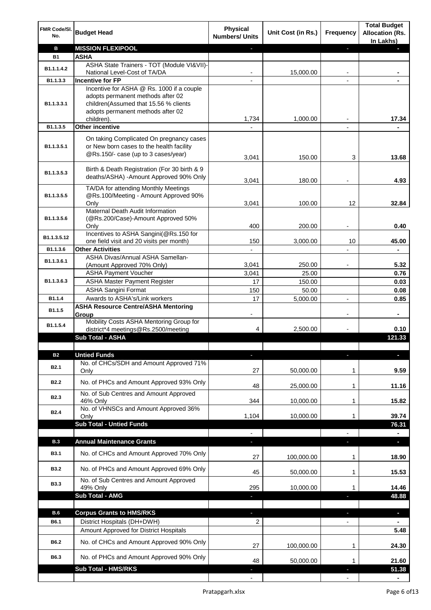| <b>MISSION FLEXIPOOL</b><br>в<br>J,<br><b>ASHA</b><br><b>B1</b><br>ASHA State Trainers - TOT (Module VI&VII)-<br>B1.1.1.4.2<br>15,000.00<br>National Level-Cost of TA/DA<br><b>Incentive for FP</b><br>B1.1.3.3<br>Incentive for ASHA @ Rs. 1000 if a couple<br>adopts permanent methods after 02<br>children(Assumed that 15.56 % clients<br>B1.1.3.3.1<br>adopts permanent methods after 02<br>1,734<br>1,000.00<br>17.34<br>children).<br><b>Other incentive</b><br>B1.1.3.5<br>$\blacksquare$<br>On taking Complicated On pregnancy cases<br>or New born cases to the health facility<br>B1.1.3.5.1<br>@Rs.150/- case (up to 3 cases/year)<br>3,041<br>150.00<br>3<br>Birth & Death Registration (For 30 birth & 9<br>B1.1.3.5.3<br>deaths/ASHA) - Amount Approved 90% Only<br>3,041<br>180.00<br>TA/DA for attending Monthly Meetings<br>@Rs.100/Meeting - Amount Approved 90%<br>B1.1.3.5.5<br>3,041<br>100.00<br>12<br>Only<br>Maternal Death Audit Information<br>(@Rs.200/Case)-Amount Approved 50%<br>B1.1.3.5.6<br>400<br>0.40<br>200.00<br>Only<br>Incentives to ASHA Sangini(@Rs.150 for<br>B1.1.3.5.12<br>150<br>3,000.00<br>45.00<br>one field visit and 20 visits per month)<br>10<br><b>Other Activities</b><br>B1.1.3.6<br>$\overline{a}$<br>$\blacksquare$<br>ASHA Divas/Annual ASHA Samellan-<br>B1.1.3.6.1<br>3,041<br>250.00<br>(Amount Approved 70% Only)<br><b>ASHA Payment Voucher</b><br>3,041<br>25.00<br>0.76<br>B1.1.3.6.3<br><b>ASHA Master Payment Register</b><br>17<br>150.00<br>0.03<br><b>ASHA Sangini Format</b><br>150<br>50.00<br>0.08<br>Awards to ASHA's/Link workers<br>17<br>5,000.00<br>0.85<br>B1.1.4<br>$\overline{a}$<br><b>ASHA Resource Centre/ASHA Mentoring</b><br>B1.1.5<br>Group<br>۰<br>-<br>$\overline{\phantom{a}}$<br>Mobility Costs ASHA Mentoring Group for<br>B1.1.5.4<br>district*4 meetings@Rs.2500/meeting<br>4<br>2,500.00<br>0.10<br><b>Sub Total - ASHA</b><br>121.33<br><b>Untied Funds</b><br><b>B2</b><br>п<br>No. of CHCs/SDH and Amount Approved 71%<br><b>B2.1</b><br>27<br>50,000.00<br>Only<br>1<br>No. of PHCs and Amount Approved 93% Only<br><b>B2.2</b><br>48<br>11.16<br>25,000.00<br>1<br>No. of Sub Centres and Amount Approved<br>B <sub>2.3</sub><br>344<br>10,000.00<br>46% Only<br>1<br>No. of VHNSCs and Amount Approved 36%<br><b>B2.4</b><br>1,104<br>10,000.00<br>1<br>Only<br><b>Sub Total - Untied Funds</b><br>76.31<br><b>Annual Maintenance Grants</b><br><b>B.3</b><br>×.<br>a.<br>T<br>No. of CHCs and Amount Approved 70% Only<br><b>B3.1</b><br>27<br>100,000.00<br>1<br>No. of PHCs and Amount Approved 69% Only<br><b>B3.2</b><br>45<br>50,000.00<br>1<br>No. of Sub Centres and Amount Approved<br><b>B3.3</b><br>49% Only<br>295<br>10,000.00<br>1<br><b>Sub Total - AMG</b><br>ı<br>п<br><b>B.6</b><br><b>Corpus Grants to HMS/RKS</b><br>r.<br>$\overline{\phantom{a}}$<br>ı<br>District Hospitals (DH+DWH)<br>B6.1<br>2<br>$\overline{\phantom{0}}$<br>Amount Approved for District Hospitals<br>No. of CHCs and Amount Approved 90% Only<br>B6.2<br>100,000.00<br>27<br>1<br>B6.3<br>No. of PHCs and Amount Approved 90% Only<br>48<br>50,000.00<br>1<br><b>Sub Total - HMS/RKS</b><br>51.38 | FMR Code/SI.<br>No. | <b>Budget Head</b> | <b>Physical</b><br><b>Numbers/ Units</b> | Unit Cost (in Rs.) | Frequency | <b>Total Budget</b><br><b>Allocation (Rs.</b><br>In Lakhs) |
|-------------------------------------------------------------------------------------------------------------------------------------------------------------------------------------------------------------------------------------------------------------------------------------------------------------------------------------------------------------------------------------------------------------------------------------------------------------------------------------------------------------------------------------------------------------------------------------------------------------------------------------------------------------------------------------------------------------------------------------------------------------------------------------------------------------------------------------------------------------------------------------------------------------------------------------------------------------------------------------------------------------------------------------------------------------------------------------------------------------------------------------------------------------------------------------------------------------------------------------------------------------------------------------------------------------------------------------------------------------------------------------------------------------------------------------------------------------------------------------------------------------------------------------------------------------------------------------------------------------------------------------------------------------------------------------------------------------------------------------------------------------------------------------------------------------------------------------------------------------------------------------------------------------------------------------------------------------------------------------------------------------------------------------------------------------------------------------------------------------------------------------------------------------------------------------------------------------------------------------------------------------------------------------------------------------------------------------------------------------------------------------------------------------------------------------------------------------------------------------------------------------------------------------------------------------------------------------------------------------------------------------------------------------------------------------------------------------------------------------------------------------------------------------------------------------------------------------------------------------------------------------------------------------------------------------------------------------------------------------------------------------------------------------------------------------------------------------------------------------------------------------------------------------------------------------------------------|---------------------|--------------------|------------------------------------------|--------------------|-----------|------------------------------------------------------------|
|                                                                                                                                                                                                                                                                                                                                                                                                                                                                                                                                                                                                                                                                                                                                                                                                                                                                                                                                                                                                                                                                                                                                                                                                                                                                                                                                                                                                                                                                                                                                                                                                                                                                                                                                                                                                                                                                                                                                                                                                                                                                                                                                                                                                                                                                                                                                                                                                                                                                                                                                                                                                                                                                                                                                                                                                                                                                                                                                                                                                                                                                                                                                                                                                       |                     |                    |                                          |                    |           |                                                            |
|                                                                                                                                                                                                                                                                                                                                                                                                                                                                                                                                                                                                                                                                                                                                                                                                                                                                                                                                                                                                                                                                                                                                                                                                                                                                                                                                                                                                                                                                                                                                                                                                                                                                                                                                                                                                                                                                                                                                                                                                                                                                                                                                                                                                                                                                                                                                                                                                                                                                                                                                                                                                                                                                                                                                                                                                                                                                                                                                                                                                                                                                                                                                                                                                       |                     |                    |                                          |                    |           |                                                            |
|                                                                                                                                                                                                                                                                                                                                                                                                                                                                                                                                                                                                                                                                                                                                                                                                                                                                                                                                                                                                                                                                                                                                                                                                                                                                                                                                                                                                                                                                                                                                                                                                                                                                                                                                                                                                                                                                                                                                                                                                                                                                                                                                                                                                                                                                                                                                                                                                                                                                                                                                                                                                                                                                                                                                                                                                                                                                                                                                                                                                                                                                                                                                                                                                       |                     |                    |                                          |                    |           |                                                            |
|                                                                                                                                                                                                                                                                                                                                                                                                                                                                                                                                                                                                                                                                                                                                                                                                                                                                                                                                                                                                                                                                                                                                                                                                                                                                                                                                                                                                                                                                                                                                                                                                                                                                                                                                                                                                                                                                                                                                                                                                                                                                                                                                                                                                                                                                                                                                                                                                                                                                                                                                                                                                                                                                                                                                                                                                                                                                                                                                                                                                                                                                                                                                                                                                       |                     |                    |                                          |                    |           |                                                            |
|                                                                                                                                                                                                                                                                                                                                                                                                                                                                                                                                                                                                                                                                                                                                                                                                                                                                                                                                                                                                                                                                                                                                                                                                                                                                                                                                                                                                                                                                                                                                                                                                                                                                                                                                                                                                                                                                                                                                                                                                                                                                                                                                                                                                                                                                                                                                                                                                                                                                                                                                                                                                                                                                                                                                                                                                                                                                                                                                                                                                                                                                                                                                                                                                       |                     |                    |                                          |                    |           |                                                            |
|                                                                                                                                                                                                                                                                                                                                                                                                                                                                                                                                                                                                                                                                                                                                                                                                                                                                                                                                                                                                                                                                                                                                                                                                                                                                                                                                                                                                                                                                                                                                                                                                                                                                                                                                                                                                                                                                                                                                                                                                                                                                                                                                                                                                                                                                                                                                                                                                                                                                                                                                                                                                                                                                                                                                                                                                                                                                                                                                                                                                                                                                                                                                                                                                       |                     |                    |                                          |                    |           |                                                            |
|                                                                                                                                                                                                                                                                                                                                                                                                                                                                                                                                                                                                                                                                                                                                                                                                                                                                                                                                                                                                                                                                                                                                                                                                                                                                                                                                                                                                                                                                                                                                                                                                                                                                                                                                                                                                                                                                                                                                                                                                                                                                                                                                                                                                                                                                                                                                                                                                                                                                                                                                                                                                                                                                                                                                                                                                                                                                                                                                                                                                                                                                                                                                                                                                       |                     |                    |                                          |                    |           |                                                            |
|                                                                                                                                                                                                                                                                                                                                                                                                                                                                                                                                                                                                                                                                                                                                                                                                                                                                                                                                                                                                                                                                                                                                                                                                                                                                                                                                                                                                                                                                                                                                                                                                                                                                                                                                                                                                                                                                                                                                                                                                                                                                                                                                                                                                                                                                                                                                                                                                                                                                                                                                                                                                                                                                                                                                                                                                                                                                                                                                                                                                                                                                                                                                                                                                       |                     |                    |                                          |                    |           |                                                            |
|                                                                                                                                                                                                                                                                                                                                                                                                                                                                                                                                                                                                                                                                                                                                                                                                                                                                                                                                                                                                                                                                                                                                                                                                                                                                                                                                                                                                                                                                                                                                                                                                                                                                                                                                                                                                                                                                                                                                                                                                                                                                                                                                                                                                                                                                                                                                                                                                                                                                                                                                                                                                                                                                                                                                                                                                                                                                                                                                                                                                                                                                                                                                                                                                       |                     |                    |                                          |                    |           | 13.68                                                      |
|                                                                                                                                                                                                                                                                                                                                                                                                                                                                                                                                                                                                                                                                                                                                                                                                                                                                                                                                                                                                                                                                                                                                                                                                                                                                                                                                                                                                                                                                                                                                                                                                                                                                                                                                                                                                                                                                                                                                                                                                                                                                                                                                                                                                                                                                                                                                                                                                                                                                                                                                                                                                                                                                                                                                                                                                                                                                                                                                                                                                                                                                                                                                                                                                       |                     |                    |                                          |                    |           | 4.93                                                       |
|                                                                                                                                                                                                                                                                                                                                                                                                                                                                                                                                                                                                                                                                                                                                                                                                                                                                                                                                                                                                                                                                                                                                                                                                                                                                                                                                                                                                                                                                                                                                                                                                                                                                                                                                                                                                                                                                                                                                                                                                                                                                                                                                                                                                                                                                                                                                                                                                                                                                                                                                                                                                                                                                                                                                                                                                                                                                                                                                                                                                                                                                                                                                                                                                       |                     |                    |                                          |                    |           |                                                            |
|                                                                                                                                                                                                                                                                                                                                                                                                                                                                                                                                                                                                                                                                                                                                                                                                                                                                                                                                                                                                                                                                                                                                                                                                                                                                                                                                                                                                                                                                                                                                                                                                                                                                                                                                                                                                                                                                                                                                                                                                                                                                                                                                                                                                                                                                                                                                                                                                                                                                                                                                                                                                                                                                                                                                                                                                                                                                                                                                                                                                                                                                                                                                                                                                       |                     |                    |                                          |                    |           |                                                            |
|                                                                                                                                                                                                                                                                                                                                                                                                                                                                                                                                                                                                                                                                                                                                                                                                                                                                                                                                                                                                                                                                                                                                                                                                                                                                                                                                                                                                                                                                                                                                                                                                                                                                                                                                                                                                                                                                                                                                                                                                                                                                                                                                                                                                                                                                                                                                                                                                                                                                                                                                                                                                                                                                                                                                                                                                                                                                                                                                                                                                                                                                                                                                                                                                       |                     |                    |                                          |                    |           | 32.84                                                      |
|                                                                                                                                                                                                                                                                                                                                                                                                                                                                                                                                                                                                                                                                                                                                                                                                                                                                                                                                                                                                                                                                                                                                                                                                                                                                                                                                                                                                                                                                                                                                                                                                                                                                                                                                                                                                                                                                                                                                                                                                                                                                                                                                                                                                                                                                                                                                                                                                                                                                                                                                                                                                                                                                                                                                                                                                                                                                                                                                                                                                                                                                                                                                                                                                       |                     |                    |                                          |                    |           |                                                            |
|                                                                                                                                                                                                                                                                                                                                                                                                                                                                                                                                                                                                                                                                                                                                                                                                                                                                                                                                                                                                                                                                                                                                                                                                                                                                                                                                                                                                                                                                                                                                                                                                                                                                                                                                                                                                                                                                                                                                                                                                                                                                                                                                                                                                                                                                                                                                                                                                                                                                                                                                                                                                                                                                                                                                                                                                                                                                                                                                                                                                                                                                                                                                                                                                       |                     |                    |                                          |                    |           |                                                            |
|                                                                                                                                                                                                                                                                                                                                                                                                                                                                                                                                                                                                                                                                                                                                                                                                                                                                                                                                                                                                                                                                                                                                                                                                                                                                                                                                                                                                                                                                                                                                                                                                                                                                                                                                                                                                                                                                                                                                                                                                                                                                                                                                                                                                                                                                                                                                                                                                                                                                                                                                                                                                                                                                                                                                                                                                                                                                                                                                                                                                                                                                                                                                                                                                       |                     |                    |                                          |                    |           |                                                            |
|                                                                                                                                                                                                                                                                                                                                                                                                                                                                                                                                                                                                                                                                                                                                                                                                                                                                                                                                                                                                                                                                                                                                                                                                                                                                                                                                                                                                                                                                                                                                                                                                                                                                                                                                                                                                                                                                                                                                                                                                                                                                                                                                                                                                                                                                                                                                                                                                                                                                                                                                                                                                                                                                                                                                                                                                                                                                                                                                                                                                                                                                                                                                                                                                       |                     |                    |                                          |                    |           |                                                            |
|                                                                                                                                                                                                                                                                                                                                                                                                                                                                                                                                                                                                                                                                                                                                                                                                                                                                                                                                                                                                                                                                                                                                                                                                                                                                                                                                                                                                                                                                                                                                                                                                                                                                                                                                                                                                                                                                                                                                                                                                                                                                                                                                                                                                                                                                                                                                                                                                                                                                                                                                                                                                                                                                                                                                                                                                                                                                                                                                                                                                                                                                                                                                                                                                       |                     |                    |                                          |                    |           |                                                            |
|                                                                                                                                                                                                                                                                                                                                                                                                                                                                                                                                                                                                                                                                                                                                                                                                                                                                                                                                                                                                                                                                                                                                                                                                                                                                                                                                                                                                                                                                                                                                                                                                                                                                                                                                                                                                                                                                                                                                                                                                                                                                                                                                                                                                                                                                                                                                                                                                                                                                                                                                                                                                                                                                                                                                                                                                                                                                                                                                                                                                                                                                                                                                                                                                       |                     |                    |                                          |                    |           |                                                            |
|                                                                                                                                                                                                                                                                                                                                                                                                                                                                                                                                                                                                                                                                                                                                                                                                                                                                                                                                                                                                                                                                                                                                                                                                                                                                                                                                                                                                                                                                                                                                                                                                                                                                                                                                                                                                                                                                                                                                                                                                                                                                                                                                                                                                                                                                                                                                                                                                                                                                                                                                                                                                                                                                                                                                                                                                                                                                                                                                                                                                                                                                                                                                                                                                       |                     |                    |                                          |                    |           | 5.32                                                       |
|                                                                                                                                                                                                                                                                                                                                                                                                                                                                                                                                                                                                                                                                                                                                                                                                                                                                                                                                                                                                                                                                                                                                                                                                                                                                                                                                                                                                                                                                                                                                                                                                                                                                                                                                                                                                                                                                                                                                                                                                                                                                                                                                                                                                                                                                                                                                                                                                                                                                                                                                                                                                                                                                                                                                                                                                                                                                                                                                                                                                                                                                                                                                                                                                       |                     |                    |                                          |                    |           |                                                            |
|                                                                                                                                                                                                                                                                                                                                                                                                                                                                                                                                                                                                                                                                                                                                                                                                                                                                                                                                                                                                                                                                                                                                                                                                                                                                                                                                                                                                                                                                                                                                                                                                                                                                                                                                                                                                                                                                                                                                                                                                                                                                                                                                                                                                                                                                                                                                                                                                                                                                                                                                                                                                                                                                                                                                                                                                                                                                                                                                                                                                                                                                                                                                                                                                       |                     |                    |                                          |                    |           |                                                            |
|                                                                                                                                                                                                                                                                                                                                                                                                                                                                                                                                                                                                                                                                                                                                                                                                                                                                                                                                                                                                                                                                                                                                                                                                                                                                                                                                                                                                                                                                                                                                                                                                                                                                                                                                                                                                                                                                                                                                                                                                                                                                                                                                                                                                                                                                                                                                                                                                                                                                                                                                                                                                                                                                                                                                                                                                                                                                                                                                                                                                                                                                                                                                                                                                       |                     |                    |                                          |                    |           |                                                            |
|                                                                                                                                                                                                                                                                                                                                                                                                                                                                                                                                                                                                                                                                                                                                                                                                                                                                                                                                                                                                                                                                                                                                                                                                                                                                                                                                                                                                                                                                                                                                                                                                                                                                                                                                                                                                                                                                                                                                                                                                                                                                                                                                                                                                                                                                                                                                                                                                                                                                                                                                                                                                                                                                                                                                                                                                                                                                                                                                                                                                                                                                                                                                                                                                       |                     |                    |                                          |                    |           |                                                            |
|                                                                                                                                                                                                                                                                                                                                                                                                                                                                                                                                                                                                                                                                                                                                                                                                                                                                                                                                                                                                                                                                                                                                                                                                                                                                                                                                                                                                                                                                                                                                                                                                                                                                                                                                                                                                                                                                                                                                                                                                                                                                                                                                                                                                                                                                                                                                                                                                                                                                                                                                                                                                                                                                                                                                                                                                                                                                                                                                                                                                                                                                                                                                                                                                       |                     |                    |                                          |                    |           |                                                            |
|                                                                                                                                                                                                                                                                                                                                                                                                                                                                                                                                                                                                                                                                                                                                                                                                                                                                                                                                                                                                                                                                                                                                                                                                                                                                                                                                                                                                                                                                                                                                                                                                                                                                                                                                                                                                                                                                                                                                                                                                                                                                                                                                                                                                                                                                                                                                                                                                                                                                                                                                                                                                                                                                                                                                                                                                                                                                                                                                                                                                                                                                                                                                                                                                       |                     |                    |                                          |                    |           |                                                            |
|                                                                                                                                                                                                                                                                                                                                                                                                                                                                                                                                                                                                                                                                                                                                                                                                                                                                                                                                                                                                                                                                                                                                                                                                                                                                                                                                                                                                                                                                                                                                                                                                                                                                                                                                                                                                                                                                                                                                                                                                                                                                                                                                                                                                                                                                                                                                                                                                                                                                                                                                                                                                                                                                                                                                                                                                                                                                                                                                                                                                                                                                                                                                                                                                       |                     |                    |                                          |                    |           |                                                            |
|                                                                                                                                                                                                                                                                                                                                                                                                                                                                                                                                                                                                                                                                                                                                                                                                                                                                                                                                                                                                                                                                                                                                                                                                                                                                                                                                                                                                                                                                                                                                                                                                                                                                                                                                                                                                                                                                                                                                                                                                                                                                                                                                                                                                                                                                                                                                                                                                                                                                                                                                                                                                                                                                                                                                                                                                                                                                                                                                                                                                                                                                                                                                                                                                       |                     |                    |                                          |                    |           |                                                            |
|                                                                                                                                                                                                                                                                                                                                                                                                                                                                                                                                                                                                                                                                                                                                                                                                                                                                                                                                                                                                                                                                                                                                                                                                                                                                                                                                                                                                                                                                                                                                                                                                                                                                                                                                                                                                                                                                                                                                                                                                                                                                                                                                                                                                                                                                                                                                                                                                                                                                                                                                                                                                                                                                                                                                                                                                                                                                                                                                                                                                                                                                                                                                                                                                       |                     |                    |                                          |                    |           |                                                            |
|                                                                                                                                                                                                                                                                                                                                                                                                                                                                                                                                                                                                                                                                                                                                                                                                                                                                                                                                                                                                                                                                                                                                                                                                                                                                                                                                                                                                                                                                                                                                                                                                                                                                                                                                                                                                                                                                                                                                                                                                                                                                                                                                                                                                                                                                                                                                                                                                                                                                                                                                                                                                                                                                                                                                                                                                                                                                                                                                                                                                                                                                                                                                                                                                       |                     |                    |                                          |                    |           | 9.59                                                       |
|                                                                                                                                                                                                                                                                                                                                                                                                                                                                                                                                                                                                                                                                                                                                                                                                                                                                                                                                                                                                                                                                                                                                                                                                                                                                                                                                                                                                                                                                                                                                                                                                                                                                                                                                                                                                                                                                                                                                                                                                                                                                                                                                                                                                                                                                                                                                                                                                                                                                                                                                                                                                                                                                                                                                                                                                                                                                                                                                                                                                                                                                                                                                                                                                       |                     |                    |                                          |                    |           |                                                            |
|                                                                                                                                                                                                                                                                                                                                                                                                                                                                                                                                                                                                                                                                                                                                                                                                                                                                                                                                                                                                                                                                                                                                                                                                                                                                                                                                                                                                                                                                                                                                                                                                                                                                                                                                                                                                                                                                                                                                                                                                                                                                                                                                                                                                                                                                                                                                                                                                                                                                                                                                                                                                                                                                                                                                                                                                                                                                                                                                                                                                                                                                                                                                                                                                       |                     |                    |                                          |                    |           |                                                            |
|                                                                                                                                                                                                                                                                                                                                                                                                                                                                                                                                                                                                                                                                                                                                                                                                                                                                                                                                                                                                                                                                                                                                                                                                                                                                                                                                                                                                                                                                                                                                                                                                                                                                                                                                                                                                                                                                                                                                                                                                                                                                                                                                                                                                                                                                                                                                                                                                                                                                                                                                                                                                                                                                                                                                                                                                                                                                                                                                                                                                                                                                                                                                                                                                       |                     |                    |                                          |                    |           | 15.82                                                      |
|                                                                                                                                                                                                                                                                                                                                                                                                                                                                                                                                                                                                                                                                                                                                                                                                                                                                                                                                                                                                                                                                                                                                                                                                                                                                                                                                                                                                                                                                                                                                                                                                                                                                                                                                                                                                                                                                                                                                                                                                                                                                                                                                                                                                                                                                                                                                                                                                                                                                                                                                                                                                                                                                                                                                                                                                                                                                                                                                                                                                                                                                                                                                                                                                       |                     |                    |                                          |                    |           |                                                            |
|                                                                                                                                                                                                                                                                                                                                                                                                                                                                                                                                                                                                                                                                                                                                                                                                                                                                                                                                                                                                                                                                                                                                                                                                                                                                                                                                                                                                                                                                                                                                                                                                                                                                                                                                                                                                                                                                                                                                                                                                                                                                                                                                                                                                                                                                                                                                                                                                                                                                                                                                                                                                                                                                                                                                                                                                                                                                                                                                                                                                                                                                                                                                                                                                       |                     |                    |                                          |                    |           | 39.74                                                      |
|                                                                                                                                                                                                                                                                                                                                                                                                                                                                                                                                                                                                                                                                                                                                                                                                                                                                                                                                                                                                                                                                                                                                                                                                                                                                                                                                                                                                                                                                                                                                                                                                                                                                                                                                                                                                                                                                                                                                                                                                                                                                                                                                                                                                                                                                                                                                                                                                                                                                                                                                                                                                                                                                                                                                                                                                                                                                                                                                                                                                                                                                                                                                                                                                       |                     |                    |                                          |                    |           |                                                            |
|                                                                                                                                                                                                                                                                                                                                                                                                                                                                                                                                                                                                                                                                                                                                                                                                                                                                                                                                                                                                                                                                                                                                                                                                                                                                                                                                                                                                                                                                                                                                                                                                                                                                                                                                                                                                                                                                                                                                                                                                                                                                                                                                                                                                                                                                                                                                                                                                                                                                                                                                                                                                                                                                                                                                                                                                                                                                                                                                                                                                                                                                                                                                                                                                       |                     |                    |                                          |                    |           |                                                            |
|                                                                                                                                                                                                                                                                                                                                                                                                                                                                                                                                                                                                                                                                                                                                                                                                                                                                                                                                                                                                                                                                                                                                                                                                                                                                                                                                                                                                                                                                                                                                                                                                                                                                                                                                                                                                                                                                                                                                                                                                                                                                                                                                                                                                                                                                                                                                                                                                                                                                                                                                                                                                                                                                                                                                                                                                                                                                                                                                                                                                                                                                                                                                                                                                       |                     |                    |                                          |                    |           |                                                            |
|                                                                                                                                                                                                                                                                                                                                                                                                                                                                                                                                                                                                                                                                                                                                                                                                                                                                                                                                                                                                                                                                                                                                                                                                                                                                                                                                                                                                                                                                                                                                                                                                                                                                                                                                                                                                                                                                                                                                                                                                                                                                                                                                                                                                                                                                                                                                                                                                                                                                                                                                                                                                                                                                                                                                                                                                                                                                                                                                                                                                                                                                                                                                                                                                       |                     |                    |                                          |                    |           | 18.90                                                      |
|                                                                                                                                                                                                                                                                                                                                                                                                                                                                                                                                                                                                                                                                                                                                                                                                                                                                                                                                                                                                                                                                                                                                                                                                                                                                                                                                                                                                                                                                                                                                                                                                                                                                                                                                                                                                                                                                                                                                                                                                                                                                                                                                                                                                                                                                                                                                                                                                                                                                                                                                                                                                                                                                                                                                                                                                                                                                                                                                                                                                                                                                                                                                                                                                       |                     |                    |                                          |                    |           | 15.53                                                      |
|                                                                                                                                                                                                                                                                                                                                                                                                                                                                                                                                                                                                                                                                                                                                                                                                                                                                                                                                                                                                                                                                                                                                                                                                                                                                                                                                                                                                                                                                                                                                                                                                                                                                                                                                                                                                                                                                                                                                                                                                                                                                                                                                                                                                                                                                                                                                                                                                                                                                                                                                                                                                                                                                                                                                                                                                                                                                                                                                                                                                                                                                                                                                                                                                       |                     |                    |                                          |                    |           | 14.46                                                      |
|                                                                                                                                                                                                                                                                                                                                                                                                                                                                                                                                                                                                                                                                                                                                                                                                                                                                                                                                                                                                                                                                                                                                                                                                                                                                                                                                                                                                                                                                                                                                                                                                                                                                                                                                                                                                                                                                                                                                                                                                                                                                                                                                                                                                                                                                                                                                                                                                                                                                                                                                                                                                                                                                                                                                                                                                                                                                                                                                                                                                                                                                                                                                                                                                       |                     |                    |                                          |                    |           | 48.88                                                      |
|                                                                                                                                                                                                                                                                                                                                                                                                                                                                                                                                                                                                                                                                                                                                                                                                                                                                                                                                                                                                                                                                                                                                                                                                                                                                                                                                                                                                                                                                                                                                                                                                                                                                                                                                                                                                                                                                                                                                                                                                                                                                                                                                                                                                                                                                                                                                                                                                                                                                                                                                                                                                                                                                                                                                                                                                                                                                                                                                                                                                                                                                                                                                                                                                       |                     |                    |                                          |                    |           |                                                            |
|                                                                                                                                                                                                                                                                                                                                                                                                                                                                                                                                                                                                                                                                                                                                                                                                                                                                                                                                                                                                                                                                                                                                                                                                                                                                                                                                                                                                                                                                                                                                                                                                                                                                                                                                                                                                                                                                                                                                                                                                                                                                                                                                                                                                                                                                                                                                                                                                                                                                                                                                                                                                                                                                                                                                                                                                                                                                                                                                                                                                                                                                                                                                                                                                       |                     |                    |                                          |                    |           |                                                            |
|                                                                                                                                                                                                                                                                                                                                                                                                                                                                                                                                                                                                                                                                                                                                                                                                                                                                                                                                                                                                                                                                                                                                                                                                                                                                                                                                                                                                                                                                                                                                                                                                                                                                                                                                                                                                                                                                                                                                                                                                                                                                                                                                                                                                                                                                                                                                                                                                                                                                                                                                                                                                                                                                                                                                                                                                                                                                                                                                                                                                                                                                                                                                                                                                       |                     |                    |                                          |                    |           |                                                            |
|                                                                                                                                                                                                                                                                                                                                                                                                                                                                                                                                                                                                                                                                                                                                                                                                                                                                                                                                                                                                                                                                                                                                                                                                                                                                                                                                                                                                                                                                                                                                                                                                                                                                                                                                                                                                                                                                                                                                                                                                                                                                                                                                                                                                                                                                                                                                                                                                                                                                                                                                                                                                                                                                                                                                                                                                                                                                                                                                                                                                                                                                                                                                                                                                       |                     |                    |                                          |                    |           | 5.48                                                       |
|                                                                                                                                                                                                                                                                                                                                                                                                                                                                                                                                                                                                                                                                                                                                                                                                                                                                                                                                                                                                                                                                                                                                                                                                                                                                                                                                                                                                                                                                                                                                                                                                                                                                                                                                                                                                                                                                                                                                                                                                                                                                                                                                                                                                                                                                                                                                                                                                                                                                                                                                                                                                                                                                                                                                                                                                                                                                                                                                                                                                                                                                                                                                                                                                       |                     |                    |                                          |                    |           | 24.30                                                      |
|                                                                                                                                                                                                                                                                                                                                                                                                                                                                                                                                                                                                                                                                                                                                                                                                                                                                                                                                                                                                                                                                                                                                                                                                                                                                                                                                                                                                                                                                                                                                                                                                                                                                                                                                                                                                                                                                                                                                                                                                                                                                                                                                                                                                                                                                                                                                                                                                                                                                                                                                                                                                                                                                                                                                                                                                                                                                                                                                                                                                                                                                                                                                                                                                       |                     |                    |                                          |                    |           | 21.60                                                      |
|                                                                                                                                                                                                                                                                                                                                                                                                                                                                                                                                                                                                                                                                                                                                                                                                                                                                                                                                                                                                                                                                                                                                                                                                                                                                                                                                                                                                                                                                                                                                                                                                                                                                                                                                                                                                                                                                                                                                                                                                                                                                                                                                                                                                                                                                                                                                                                                                                                                                                                                                                                                                                                                                                                                                                                                                                                                                                                                                                                                                                                                                                                                                                                                                       |                     |                    |                                          |                    |           |                                                            |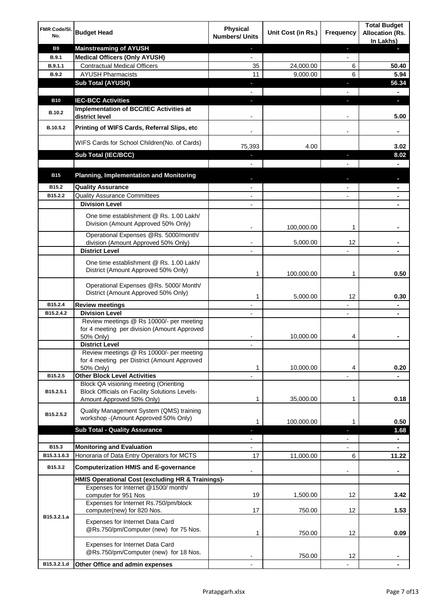| FMR Code/SI.<br>No. | <b>Budget Head</b>                                                                                                         | <b>Physical</b><br><b>Numbers/ Units</b> | Unit Cost (in Rs.) | Frequency                | <b>Total Budget</b><br><b>Allocation (Rs.</b><br>In Lakhs) |
|---------------------|----------------------------------------------------------------------------------------------------------------------------|------------------------------------------|--------------------|--------------------------|------------------------------------------------------------|
| <b>B9</b>           | <b>Mainstreaming of AYUSH</b>                                                                                              | ٠                                        |                    | ٠                        | ٠                                                          |
| <b>B.9.1</b>        | <b>Medical Officers (Only AYUSH)</b>                                                                                       | $\overline{\phantom{a}}$                 |                    | $\overline{\phantom{a}}$ |                                                            |
| B.9.1.1             | <b>Contractual Medical Officers</b>                                                                                        | 35                                       | 24,000.00          | 6                        | 50.40                                                      |
| <b>B.9.2</b>        | <b>AYUSH Pharmacists</b>                                                                                                   | 11                                       | 9,000.00           | 6                        | 5.94                                                       |
|                     | <b>Sub Total (AYUSH)</b>                                                                                                   | ٠                                        |                    | J,                       | 56.34                                                      |
| <b>B10</b>          | <b>IEC-BCC Activities</b>                                                                                                  | J,                                       |                    | J,                       | ٠                                                          |
|                     | Implementation of BCC/IEC Activities at                                                                                    |                                          |                    |                          |                                                            |
| <b>B.10.2</b>       | district level                                                                                                             |                                          |                    |                          | 5.00                                                       |
| B.10.5.2            | Printing of WIFS Cards, Referral Slips, etc                                                                                |                                          |                    | $\overline{\phantom{a}}$ | ۰                                                          |
|                     | WIFS Cards for School Children(No. of Cards)                                                                               | 75,393                                   | 4.00               |                          | 3.02                                                       |
|                     | Sub Total (IEC/BCC)                                                                                                        |                                          |                    |                          | 8.02                                                       |
|                     |                                                                                                                            |                                          |                    |                          |                                                            |
| <b>B15</b>          | <b>Planning, Implementation and Monitoring</b>                                                                             |                                          |                    |                          |                                                            |
| B15.2               | <b>Quality Assurance</b>                                                                                                   |                                          |                    |                          | ۰                                                          |
| B15.2.2             | <b>Quality Assurance Committees</b>                                                                                        |                                          |                    |                          | ۰                                                          |
|                     | <b>Division Level</b>                                                                                                      |                                          |                    |                          |                                                            |
|                     | One time establishment @ Rs. 1.00 Lakh/<br>Division (Amount Approved 50% Only)                                             | $\overline{\phantom{a}}$                 | 100,000.00         | 1                        |                                                            |
|                     | Operational Expenses @Rs. 5000/month/                                                                                      |                                          |                    |                          |                                                            |
|                     | division (Amount Approved 50% Only)                                                                                        |                                          | 5,000.00           | 12                       |                                                            |
|                     | <b>District Level</b>                                                                                                      |                                          |                    |                          |                                                            |
|                     | One time establishment @ Rs. 1.00 Lakh/<br>District (Amount Approved 50% Only)                                             | 1                                        | 100,000.00         | 1                        | 0.50                                                       |
|                     | Operational Expenses @Rs. 5000/ Month/<br>District (Amount Approved 50% Only)                                              | 1                                        | 5,000.00           | 12                       | 0.30                                                       |
| B15.2.4             | <b>Review meetings</b>                                                                                                     | $\overline{a}$                           |                    | -                        | ۰                                                          |
| B15.2.4.2           | <b>Division Level</b>                                                                                                      |                                          |                    | $\overline{\phantom{a}}$ | ٠                                                          |
|                     | Review meetings @ Rs 10000/- per meeting<br>for 4 meeting per division (Amount Approved<br>50% Only)                       |                                          | 10,000.00          | 4                        |                                                            |
|                     | <b>District Level</b>                                                                                                      |                                          |                    |                          |                                                            |
|                     | Review meetings @ Rs 10000/- per meeting<br>for 4 meeting per District (Amount Approved<br>50% Only)                       | 1                                        | 10,000.00          | 4                        | 0.20                                                       |
| B15.2.5             | <b>Other Block Level Activities</b>                                                                                        |                                          |                    |                          |                                                            |
| B15.2.5.1           | Block QA visioning meeting (Orienting<br><b>Block Officials on Facility Solutions Levels-</b><br>Amount Approved 50% Only) | 1                                        | 35,000.00          | 1                        | 0.18                                                       |
| B15.2.5.2           | Quality Management System (QMS) training                                                                                   |                                          |                    |                          |                                                            |
|                     | workshop - (Amount Approved 50% Only)                                                                                      | 1                                        | 100,000.00         | 1                        | 0.50                                                       |
|                     | <b>Sub Total - Quality Assurance</b>                                                                                       |                                          |                    | r                        | 1.68                                                       |
| B15.3               | <b>Monitoring and Evaluation</b>                                                                                           |                                          |                    |                          | ۰                                                          |
| B15.3.1.6.3         | Honoraria of Data Entry Operators for MCTS                                                                                 | 17                                       | 11,000.00          | 6                        | 11.22                                                      |
| B15.3.2             | <b>Computerization HMIS and E-governance</b>                                                                               |                                          |                    |                          |                                                            |
|                     | HMIS Operational Cost (excluding HR & Trainings)-                                                                          |                                          |                    |                          | ۰                                                          |
|                     | Expenses for Internet @1500/month/                                                                                         |                                          |                    |                          |                                                            |
|                     | computer for 951 Nos                                                                                                       | 19                                       | 1,500.00           | 12                       | 3.42                                                       |
|                     | Expenses for Internet Rs.750/pm/block<br>computer(new) for 820 Nos.                                                        | 17                                       | 750.00             | 12                       | 1.53                                                       |
| B15.3.2.1.a         | Expenses for Internet Data Card<br>@Rs.750/pm/Computer (new) for 75 Nos.                                                   | 1                                        | 750.00             | 12                       | 0.09                                                       |
|                     | Expenses for Internet Data Card<br>@Rs.750/pm/Computer (new) for 18 Nos.                                                   |                                          | 750.00             | 12                       |                                                            |
| B15.3.2.1.d         | Other Office and admin expenses                                                                                            |                                          |                    |                          |                                                            |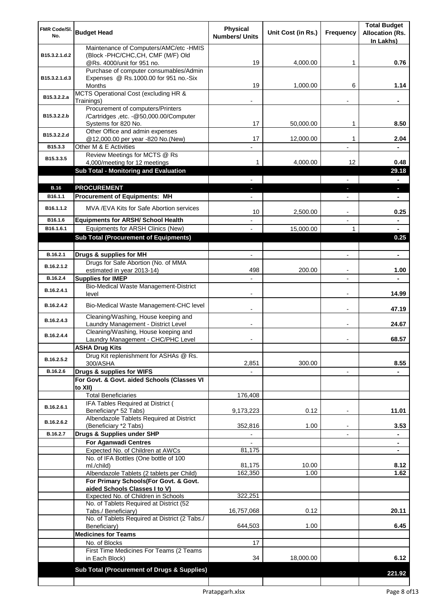| FMR Code/SI.<br>No.    | <b>Budget Head</b>                                                                                 | <b>Physical</b><br><b>Numbers/ Units</b> | Unit Cost (in Rs.) | Frequency                     | <b>Total Budget</b><br><b>Allocation (Rs.</b><br>In Lakhs) |
|------------------------|----------------------------------------------------------------------------------------------------|------------------------------------------|--------------------|-------------------------------|------------------------------------------------------------|
| B15.3.2.1.d.2          | Maintenance of Computers/AMC/etc -HMIS<br>(Block -PHC/CHC, CH, CMF (M/F) Old                       |                                          |                    |                               |                                                            |
|                        | @Rs. 4000/unit for 951 no.<br>Purchase of computer consumables/Admin                               | 19                                       | 4,000.00           | 1                             | 0.76                                                       |
| B15.3.2.1.d.3          | Expenses @ Rs.1000.00 for 951 no.-Six<br>Months                                                    | 19                                       | 1,000.00           | 6                             | 1.14                                                       |
| B15.3.2.2.a            | MCTS Operational Cost (excluding HR &<br>Trainings)                                                |                                          |                    |                               |                                                            |
| B15.3.2.2.b            | Procurement of computers/Printers<br>/Cartridges ,etc. -@50,000.00/Computer<br>Systems for 820 No. | 17                                       | 50,000.00          | 1                             | 8.50                                                       |
| B15.3.2.2.d            | Other Office and admin expenses<br>@12,000.00 per year -820 No.(New)                               | 17                                       | 12,000.00          | 1                             | 2.04                                                       |
| B15.3.3                | Other M & E Activities                                                                             |                                          |                    |                               |                                                            |
| B15.3.3.5              | Review Meetings for MCTS @ Rs<br>4,000/meeting for 12 meetings                                     | 1.                                       | 4,000.00           | 12                            | 0.48                                                       |
|                        | <b>Sub Total - Monitoring and Evaluation</b>                                                       |                                          |                    |                               | 29.18                                                      |
|                        |                                                                                                    |                                          |                    | $\overline{\phantom{0}}$      | $\blacksquare$                                             |
| <b>B.16</b><br>B16.1.1 | <b>PROCUREMENT</b><br><b>Procurement of Equipments: MH</b>                                         | ٠                                        |                    | ٠<br>$\overline{\phantom{a}}$ | $\overline{\phantom{a}}$<br>$\blacksquare$                 |
|                        |                                                                                                    |                                          |                    |                               |                                                            |
| B16.1.1.2              | MVA /EVA Kits for Safe Abortion services                                                           | 10                                       | 2,500.00           |                               | 0.25                                                       |
| B16.1.6<br>B16.1.6.1   | <b>Equipments for ARSH/ School Health</b><br>Equipments for ARSH Clinics (New)                     |                                          |                    | 1                             |                                                            |
|                        | <b>Sub Total (Procurement of Equipments)</b>                                                       |                                          | 15,000.00          |                               | 0.25                                                       |
|                        |                                                                                                    |                                          |                    |                               |                                                            |
| B.16.2.1               | Drugs & supplies for MH                                                                            |                                          |                    |                               | $\blacksquare$                                             |
| B.16.2.1.2             | Drugs for Safe Abortion (No. of MMA<br>estimated in year 2013-14)                                  | 498                                      | 200.00             |                               | 1.00                                                       |
| B.16.2.4               | <b>Supplies for IMEP</b>                                                                           |                                          |                    |                               |                                                            |
| B.16.2.4.1             | Bio-Medical Waste Management-District<br>level                                                     |                                          |                    |                               | 14.99                                                      |
| B.16.2.4.2             | Bio-Medical Waste Management-CHC level                                                             |                                          |                    |                               | 47.19                                                      |
| B.16.2.4.3             | Cleaning/Washing, House keeping and<br>Laundry Management - District Level                         |                                          |                    |                               | 24.67                                                      |
| B.16.2.4.4             | Cleaning/Washing, House keeping and<br>Laundry Management - CHC/PHC Level                          |                                          |                    |                               | 68.57                                                      |
|                        | <b>ASHA Drug Kits</b>                                                                              |                                          |                    |                               |                                                            |
| B.16.2.5.2             | Drug Kit replenishment for ASHAs @ Rs.<br>300/ASHA                                                 | 2,851                                    | 300.00             |                               | 8.55                                                       |
| B.16.2.6               | Drugs & supplies for WIFS                                                                          |                                          |                    | $\blacksquare$                |                                                            |
|                        | For Govt. & Govt. aided Schools (Classes VI<br>to XII)                                             |                                          |                    |                               |                                                            |
|                        | <b>Total Beneficiaries</b>                                                                         | 176,408                                  |                    |                               |                                                            |
| B.16.2.6.1             | IFA Tables Required at District (<br>Beneficiary* 52 Tabs)                                         | 9,173,223                                | 0.12               | ٠                             | 11.01                                                      |
| B.16.2.6.2             | Albendazole Tablets Required at District<br>(Beneficiary *2 Tabs)                                  | 352,816                                  | 1.00               |                               | 3.53                                                       |
| B.16.2.7               | Drugs & Supplies under SHP                                                                         |                                          |                    |                               |                                                            |
|                        | <b>For Aganwadi Centres</b>                                                                        |                                          |                    |                               | ٠                                                          |
|                        | Expected No. of Children at AWCs                                                                   | 81,175                                   |                    |                               |                                                            |
|                        | No. of IFA Bottles (One bottle of 100<br>ml./child)                                                | 81,175                                   | 10.00              |                               | 8.12                                                       |
|                        | Albendazole Tablets (2 tablets per Child)                                                          | 162,350                                  | 1.00               |                               | 1.62                                                       |
|                        | For Primary Schools(For Govt. & Govt.<br>aided Schools Classes I to V)                             |                                          |                    |                               |                                                            |
|                        | Expected No. of Children in Schools                                                                | 322,251                                  |                    |                               |                                                            |
|                        | No. of Tablets Required at District (52<br>Tabs./ Beneficiary)                                     | 16,757,068                               | 0.12               |                               | 20.11                                                      |
|                        | No. of Tablets Required at District (2 Tabs./<br>Beneficiary)                                      | 644,503                                  | 1.00               |                               | 6.45                                                       |
|                        | <b>Medicines for Teams</b>                                                                         |                                          |                    |                               |                                                            |
|                        | No. of Blocks                                                                                      | 17                                       |                    |                               |                                                            |
|                        | First Time Medicines For Teams (2 Teams<br>in Each Block)                                          | 34                                       | 18,000.00          |                               | 6.12                                                       |
|                        | Sub Total (Procurement of Drugs & Supplies)                                                        |                                          |                    |                               | 221.92                                                     |
|                        |                                                                                                    |                                          |                    |                               |                                                            |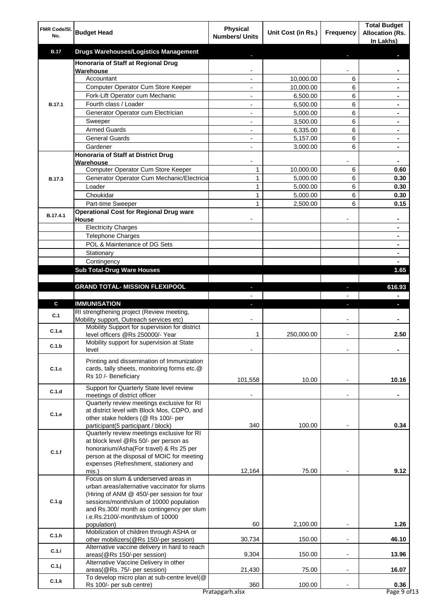| FMR Code/SI.<br>No. | <b>Budget Head</b>                                                                                                                                                                                                                                             | <b>Physical</b><br><b>Numbers/ Units</b>   | Unit Cost (in Rs.)    | Frequency                | <b>Total Budget</b><br><b>Allocation (Rs.</b><br>In Lakhs) |
|---------------------|----------------------------------------------------------------------------------------------------------------------------------------------------------------------------------------------------------------------------------------------------------------|--------------------------------------------|-----------------------|--------------------------|------------------------------------------------------------|
| <b>B.17</b>         | <b>Drugs Warehouses/Logistics Management</b>                                                                                                                                                                                                                   |                                            |                       |                          |                                                            |
|                     | Honoraria of Staff at Regional Drug                                                                                                                                                                                                                            |                                            |                       |                          |                                                            |
|                     | Warehouse                                                                                                                                                                                                                                                      |                                            |                       |                          |                                                            |
|                     | Accountant<br>Computer Operator Cum Store Keeper                                                                                                                                                                                                               | $\overline{a}$<br>$\overline{\phantom{a}}$ | 10,000.00             | 6<br>6                   |                                                            |
|                     | Fork-Lift Operator cum Mechanic                                                                                                                                                                                                                                | $\blacksquare$                             | 10,000.00<br>6,500.00 | 6                        | $\blacksquare$                                             |
| <b>B.17.1</b>       | Fourth class / Loader                                                                                                                                                                                                                                          | $\blacksquare$                             | 6,500.00              | 6                        | $\blacksquare$                                             |
|                     | Generator Operator cum Electrician                                                                                                                                                                                                                             | $\overline{a}$                             | 5,000.00              | 6                        | ٠                                                          |
|                     | Sweeper                                                                                                                                                                                                                                                        |                                            | 3,500.00              | 6                        |                                                            |
|                     | <b>Armed Guards</b>                                                                                                                                                                                                                                            |                                            | 6,335.00              | 6                        |                                                            |
|                     | <b>General Guards</b>                                                                                                                                                                                                                                          |                                            | 5,157.00              | 6                        |                                                            |
|                     | Gardener<br>Honoraria of Staff at District Drug                                                                                                                                                                                                                |                                            | 3,000.00              | 6                        |                                                            |
|                     | Warehouse                                                                                                                                                                                                                                                      |                                            |                       |                          | $\blacksquare$                                             |
|                     | Computer Operator Cum Store Keeper                                                                                                                                                                                                                             | 1                                          | 10,000.00             | 6                        | 0.60                                                       |
| <b>B.17.3</b>       | Generator Operator Cum Mechanic/Electricia                                                                                                                                                                                                                     | $\mathbf{1}$                               | 5,000.00              | 6                        | 0.30                                                       |
|                     | Loader                                                                                                                                                                                                                                                         | 1                                          | 5,000.00              | 6                        | 0.30                                                       |
|                     | Choukidar                                                                                                                                                                                                                                                      | 1                                          | 5,000.00              | 6                        | 0.30                                                       |
|                     | Part-time Sweeper<br><b>Operational Cost for Regional Drug ware</b>                                                                                                                                                                                            | 1                                          | 2,500.00              | 6                        | 0.15                                                       |
| B.17.4.1            | House                                                                                                                                                                                                                                                          |                                            |                       |                          |                                                            |
|                     | <b>Electricity Charges</b>                                                                                                                                                                                                                                     |                                            |                       |                          |                                                            |
|                     | <b>Telephone Charges</b>                                                                                                                                                                                                                                       |                                            |                       |                          | $\blacksquare$                                             |
|                     | POL & Maintenance of DG Sets                                                                                                                                                                                                                                   |                                            |                       |                          | $\blacksquare$                                             |
|                     | Stationary                                                                                                                                                                                                                                                     |                                            |                       |                          | $\blacksquare$                                             |
|                     | Contingency                                                                                                                                                                                                                                                    |                                            |                       |                          | $\blacksquare$                                             |
|                     | <b>Sub Total-Drug Ware Houses</b>                                                                                                                                                                                                                              |                                            |                       |                          | 1.65                                                       |
|                     | <b>GRAND TOTAL- MISSION FLEXIPOOL</b>                                                                                                                                                                                                                          | J.                                         |                       | ÷                        | 616.93                                                     |
|                     |                                                                                                                                                                                                                                                                |                                            |                       |                          | $\blacksquare$                                             |
| C                   | <b>IMMUNISATION</b>                                                                                                                                                                                                                                            | ÷.                                         |                       | ı                        | J,                                                         |
| C.1                 | RI strengthening project (Review meeting,                                                                                                                                                                                                                      |                                            |                       |                          |                                                            |
|                     | Mobility support, Outreach services etc)<br>Mobility Support for supervision for district                                                                                                                                                                      |                                            |                       |                          |                                                            |
| C.1.a               | level officers @Rs 250000/- Year                                                                                                                                                                                                                               | 1                                          | 250,000.00            | $\overline{\phantom{a}}$ | 2.50                                                       |
| C.1.b               | Mobility support for supervision at State                                                                                                                                                                                                                      |                                            |                       |                          |                                                            |
|                     | level                                                                                                                                                                                                                                                          |                                            |                       |                          |                                                            |
| C.1.c               | Printing and dissemination of Immunization<br>cards, tally sheets, monitoring forms etc.@<br>Rs 10 /- Beneficiary                                                                                                                                              | 101,558                                    | 10.00                 |                          | 10.16                                                      |
| C.1.d               | Support for Quarterly State level review                                                                                                                                                                                                                       |                                            |                       |                          |                                                            |
|                     | meetings of district officer                                                                                                                                                                                                                                   |                                            |                       |                          |                                                            |
| C.1.e               | Quarterly review meetings exclusive for RI<br>at district level with Block Mos, CDPO, and<br>other stake holders (@ Rs 100/- per<br>participant(5 participant / block)                                                                                         | 340                                        | 100.00                |                          | 0.34                                                       |
| C.1.f               | Quarterly review meetings exclusive for RI<br>at block level @Rs 50/- per person as<br>honorarium/Asha(For travel) & Rs 25 per<br>person at the disposal of MOIC for meeting<br>expenses (Refreshment, stationery and                                          |                                            |                       |                          |                                                            |
|                     | mis.)                                                                                                                                                                                                                                                          | 12,164                                     | 75.00                 |                          | 9.12                                                       |
| C.1.g               | Focus on slum & underserved areas in<br>urban areas/alternative vaccinator for slums<br>(Hiring of ANM @ 450/-per session for four<br>sessions/month/slum of 10000 population<br>and Rs.300/ month as contingency per slum<br>i.e.Rs.2100/-month/slum of 10000 |                                            |                       |                          |                                                            |
|                     | population)<br>Mobilization of children through ASHA or                                                                                                                                                                                                        | 60                                         | 2,100.00              |                          | 1.26                                                       |
| C.1.h               | other mobilizers(@Rs 150/-per session)                                                                                                                                                                                                                         | 30,734                                     | 150.00                | $\blacksquare$           | 46.10                                                      |
| C.1.i               | Alternative vaccine delivery in hard to reach                                                                                                                                                                                                                  |                                            |                       |                          |                                                            |
| $C.1.$ j            | areas(@Rs 150/-per session)<br>Alternative Vaccine Delivery in other<br>areas(@Rs. 75/- per session)                                                                                                                                                           | 9,304<br>21,430                            | 150.00<br>75.00       | $\blacksquare$           | 13.96<br>16.07                                             |
| C.1.k               | To develop micro plan at sub-centre level(@                                                                                                                                                                                                                    |                                            |                       |                          |                                                            |
|                     | Rs 100/- per sub centre)                                                                                                                                                                                                                                       | 360<br>Pratapgarh.xlsx                     | 100.00                |                          | 0.36<br>Page 9 of 13                                       |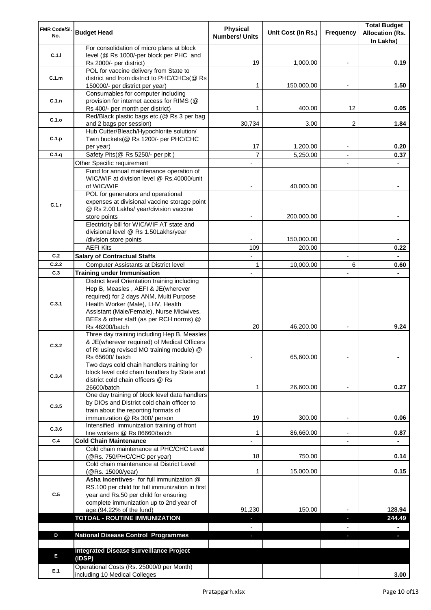| FMR Code/SI.<br>No. | <b>Budget Head</b>                                                                          | <b>Physical</b><br><b>Numbers/ Units</b> | Unit Cost (in Rs.) | Frequency                | <b>Total Budget</b><br><b>Allocation (Rs.</b> |
|---------------------|---------------------------------------------------------------------------------------------|------------------------------------------|--------------------|--------------------------|-----------------------------------------------|
|                     | For consolidation of micro plans at block                                                   |                                          |                    |                          | In Lakhs)                                     |
| C.1.1               | level (@ Rs 1000/-per block per PHC and                                                     |                                          |                    |                          |                                               |
|                     | Rs 2000/- per district)                                                                     | 19                                       | 1,000.00           | $\overline{\phantom{a}}$ | 0.19                                          |
|                     | POL for vaccine delivery from State to                                                      |                                          |                    |                          |                                               |
| C.1.m               | district and from district to PHC/CHCs(@ Rs                                                 | 1                                        | 150,000.00         |                          | 1.50                                          |
|                     | 150000/- per district per year)<br>Consumables for computer including                       |                                          |                    |                          |                                               |
| C.1.n               | provision for internet access for RIMS (@                                                   |                                          |                    |                          |                                               |
|                     | Rs 400/- per month per district)                                                            | 1                                        | 400.00             | 12                       | 0.05                                          |
| C.1.o               | Red/Black plastic bags etc.(@ Rs 3 per bag                                                  |                                          |                    |                          |                                               |
|                     | and 2 bags per session)                                                                     | 30,734                                   | 3.00               | $\overline{2}$           | 1.84                                          |
|                     | Hub Cutter/Bleach/Hypochlorite solution/                                                    |                                          |                    |                          |                                               |
| C.1.p               | Twin buckets(@ Rs 1200/- per PHC/CHC<br>per year)                                           | 17                                       | 1,200.00           |                          | 0.20                                          |
| C.1.q               | Safety Pits(@ Rs 5250/- per pit)                                                            | $\overline{7}$                           | 5,250.00           | $\blacksquare$           | 0.37                                          |
|                     | Other Specific requirement                                                                  |                                          |                    |                          |                                               |
|                     | Fund for annual maintenance operation of                                                    |                                          |                    |                          |                                               |
|                     | WIC/WIF at division level @ Rs.40000/unit                                                   |                                          |                    |                          |                                               |
|                     | of WIC/WIF                                                                                  |                                          | 40,000.00          |                          |                                               |
|                     | POL for generators and operational                                                          |                                          |                    |                          |                                               |
| C.1.r               | expenses at divisional vaccine storage point<br>@ Rs 2.00 Lakhs/ year/division vaccine      |                                          |                    |                          |                                               |
|                     | store points                                                                                |                                          | 200,000.00         |                          |                                               |
|                     | Electricity bill for WIC/WIF AT state and                                                   |                                          |                    |                          |                                               |
|                     | divisional level @ Rs 1.50Lakhs/year                                                        |                                          |                    |                          |                                               |
|                     | /division store points                                                                      |                                          | 150,000.00         |                          |                                               |
|                     | <b>AEFI Kits</b>                                                                            | 109                                      | 200.00             |                          | 0.22                                          |
| C.2                 | <b>Salary of Contractual Staffs</b>                                                         |                                          |                    |                          |                                               |
| C.2.2               | Computer Assistants at District level                                                       | 1                                        | 10,000.00          | 6                        | 0.60                                          |
| C.3                 | <b>Training under Immunisation</b>                                                          |                                          |                    |                          |                                               |
|                     | District level Orientation training including                                               |                                          |                    |                          |                                               |
|                     | Hep B, Measles, AEFI & JE(wherever<br>required) for 2 days ANM, Multi Purpose               |                                          |                    |                          |                                               |
| C.3.1               | Health Worker (Male), LHV, Health                                                           |                                          |                    |                          |                                               |
|                     | Assistant (Male/Female), Nurse Midwives,                                                    |                                          |                    |                          |                                               |
|                     | BEEs & other staff (as per RCH norms) @                                                     |                                          |                    |                          |                                               |
|                     | Rs 46200/batch                                                                              | 20                                       | 46,200.00          |                          | 9.24                                          |
|                     | Three day training including Hep B, Measles                                                 |                                          |                    |                          |                                               |
| C.3.2               | & JE(wherever required) of Medical Officers<br>of RI using revised MO training module) @    |                                          |                    |                          |                                               |
|                     | Rs 65600/ batch                                                                             |                                          | 65,600.00          |                          |                                               |
|                     | Two days cold chain handlers training for                                                   |                                          |                    |                          |                                               |
| C.3.4               | block level cold chain handlers by State and                                                |                                          |                    |                          |                                               |
|                     | district cold chain officers @ Rs                                                           |                                          |                    |                          |                                               |
|                     | 26600/batch                                                                                 | 1                                        | 26,600.00          |                          | 0.27                                          |
|                     | One day training of block level data handlers<br>by DIOs and District cold chain officer to |                                          |                    |                          |                                               |
| C.3.5               | train about the reporting formats of                                                        |                                          |                    |                          |                                               |
|                     | immunization @ Rs 300/ person                                                               | 19                                       | 300.00             |                          | 0.06                                          |
| C.3.6               | Intensified immunization training of front                                                  |                                          |                    |                          |                                               |
|                     | line workers @ Rs 86660/batch                                                               | 1                                        | 86,660.00          |                          | 0.87                                          |
| C.4                 | <b>Cold Chain Maintenance</b>                                                               |                                          |                    |                          |                                               |
|                     | Cold chain maintenance at PHC/CHC Level                                                     |                                          |                    |                          |                                               |
|                     | (@Rs. 750/PHC/CHC per year)<br>Cold chain maintenance at District Level                     | 18                                       | 750.00             |                          | 0.14                                          |
|                     | (@Rs. 15000/year)                                                                           | 1                                        | 15,000.00          |                          | 0.15                                          |
|                     | Asha Incentives- for full immunization @                                                    |                                          |                    |                          |                                               |
|                     | RS.100 per child for full immunization in first                                             |                                          |                    |                          |                                               |
| C.5                 | year and Rs.50 per child for ensuring                                                       |                                          |                    |                          |                                               |
|                     | complete immunization up to 2nd year of                                                     |                                          |                    |                          |                                               |
|                     | age.(94.22% of the fund)                                                                    | 91,230                                   | 150.00             |                          | 128.94                                        |
|                     | <b>TOTOAL - ROUTINE IMMUNIZATION</b>                                                        |                                          |                    | J,                       | 244.49                                        |
| D                   | <b>National Disease Control Programmes</b>                                                  |                                          |                    |                          | ٠                                             |
|                     |                                                                                             | ٠                                        |                    |                          |                                               |
|                     | <b>Integrated Disease Surveillance Project</b>                                              |                                          |                    |                          |                                               |
| E                   | (IDSP)                                                                                      |                                          |                    |                          |                                               |
|                     | Operational Costs (Rs. 25000/0 per Month)                                                   |                                          |                    |                          |                                               |
| E.1                 | including 10 Medical Colleges                                                               |                                          |                    |                          | 3.00                                          |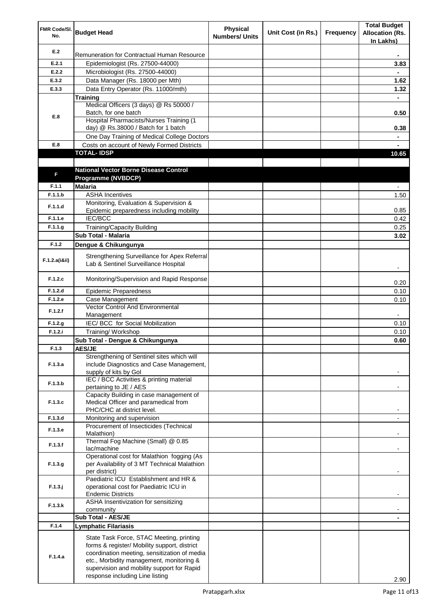| FMR Code/SI.<br>No. | <b>Budget Head</b>                                                                               | Physical<br><b>Numbers/ Units</b> | Unit Cost (in Rs.) | Frequency | <b>Total Budget</b><br><b>Allocation (Rs.</b><br>In Lakhs) |
|---------------------|--------------------------------------------------------------------------------------------------|-----------------------------------|--------------------|-----------|------------------------------------------------------------|
| E.2                 | Remuneration for Contractual Human Resource                                                      |                                   |                    |           |                                                            |
| E.2.1               | Epidemiologist (Rs. 27500-44000)                                                                 |                                   |                    |           | 3.83                                                       |
| E.2.2               | Microbiologist (Rs. 27500-44000)                                                                 |                                   |                    |           |                                                            |
| E.3.2               | Data Manager (Rs. 18000 per Mth)                                                                 |                                   |                    |           | 1.62                                                       |
| E.3.3               | Data Entry Operator (Rs. 11000/mth)                                                              |                                   |                    |           | 1.32                                                       |
|                     | Training                                                                                         |                                   |                    |           | ä.                                                         |
|                     | Medical Officers (3 days) @ Rs 50000 /<br>Batch, for one batch                                   |                                   |                    |           |                                                            |
| E.8                 | <b>Hospital Pharmacists/Nurses Training (1)</b>                                                  |                                   |                    |           | 0.50                                                       |
|                     | day) @ Rs.38000 / Batch for 1 batch                                                              |                                   |                    |           | 0.38                                                       |
|                     | One Day Training of Medical College Doctors                                                      |                                   |                    |           | $\blacksquare$                                             |
| E.8                 | Costs on account of Newly Formed Districts                                                       |                                   |                    |           | ä,                                                         |
|                     | <b>TOTAL-IDSP</b>                                                                                |                                   |                    |           | 10.65                                                      |
|                     |                                                                                                  |                                   |                    |           |                                                            |
| F                   | <b>National Vector Borne Disease Control</b>                                                     |                                   |                    |           |                                                            |
|                     | Programme (NVBDCP)                                                                               |                                   |                    |           |                                                            |
| F.1.1               | <b>Malaria</b>                                                                                   |                                   |                    |           |                                                            |
| F.1.1.b             | <b>ASHA Incentives</b>                                                                           |                                   |                    |           | 1.50                                                       |
| F.1.1.d             | Monitoring, Evaluation & Supervision &<br>Epidemic preparedness including mobility               |                                   |                    |           | 0.85                                                       |
| F.1.1.e             | <b>IEC/BCC</b>                                                                                   |                                   |                    |           | 0.42                                                       |
| F.1.1.g             | <b>Training/Capacity Building</b>                                                                |                                   |                    |           | 0.25                                                       |
|                     | <b>Sub Total - Malaria</b>                                                                       |                                   |                    |           | 3.02                                                       |
| F.1.2               | Dengue & Chikungunya                                                                             |                                   |                    |           |                                                            |
|                     | Strengthening Surveillance for Apex Referral                                                     |                                   |                    |           |                                                            |
| F.1.2.a(iⅈ)         | Lab & Sentinel Surveillance Hospital                                                             |                                   |                    |           |                                                            |
| F.1.2.c             | Monitoring/Supervision and Rapid Response                                                        |                                   |                    |           | 0.20                                                       |
| F.1.2.d             | <b>Epidemic Preparedness</b>                                                                     |                                   |                    |           | 0.10                                                       |
| F.1.2.e             | Case Management                                                                                  |                                   |                    |           | 0.10                                                       |
| F.1.2.f             | Vector Control And Environmental                                                                 |                                   |                    |           |                                                            |
|                     | Management                                                                                       |                                   |                    |           |                                                            |
| F.1.2.g<br>F.1.2.i  | IEC/ BCC for Social Mobilization<br>Training/ Workshop                                           |                                   |                    |           | 0.10<br>0.10                                               |
|                     | Sub Total - Dengue & Chikungunya                                                                 |                                   |                    |           | 0.60                                                       |
| F.1.3               | <b>AES/JE</b>                                                                                    |                                   |                    |           |                                                            |
|                     | Strengthening of Sentinel sites which will                                                       |                                   |                    |           |                                                            |
| F.1.3.a             | include Diagnostics and Case Management,<br>supply of kits by Gol                                |                                   |                    |           |                                                            |
| F.1.3.b             | IEC / BCC Activities & printing material<br>pertaining to JE / AES                               |                                   |                    |           |                                                            |
|                     | Capacity Building in case management of                                                          |                                   |                    |           |                                                            |
| F.1.3.c             | Medical Officer and paramedical from                                                             |                                   |                    |           |                                                            |
|                     | PHC/CHC at district level.                                                                       |                                   |                    |           |                                                            |
| F.1.3.d             | Monitoring and supervision<br>Procurement of Insecticides (Technical                             |                                   |                    |           | $\overline{\phantom{a}}$                                   |
| F.1.3.e             | Malathion)<br>Thermal Fog Machine (Small) @ 0.85                                                 |                                   |                    |           |                                                            |
| F.1.3.f             | lac/machine                                                                                      |                                   |                    |           |                                                            |
| F.1.3.g             | Operational cost for Malathion fogging (As<br>per Availability of 3 MT Technical Malathion       |                                   |                    |           |                                                            |
| $F.1.3.$ j          | per district)<br>Paediatric ICU Establishment and HR &<br>operational cost for Paediatric ICU in |                                   |                    |           |                                                            |
|                     | <b>Endemic Districts</b>                                                                         |                                   |                    |           |                                                            |
| F.1.3.k             | ASHA Insentivization for sensitizing<br>community                                                |                                   |                    |           |                                                            |
|                     | Sub Total - AES/JE                                                                               |                                   |                    |           |                                                            |
| F.1.4               | <b>Lymphatic Filariasis</b>                                                                      |                                   |                    |           |                                                            |
|                     | State Task Force, STAC Meeting, printing                                                         |                                   |                    |           |                                                            |
|                     | forms & register/ Mobility support, district                                                     |                                   |                    |           |                                                            |
| F.1.4.a             | coordination meeting, sensitization of media                                                     |                                   |                    |           |                                                            |
|                     | etc., Morbidity management, monitoring &                                                         |                                   |                    |           |                                                            |
|                     | supervision and mobility support for Rapid                                                       |                                   |                    |           |                                                            |
|                     | response including Line listing                                                                  |                                   |                    |           | 2.90                                                       |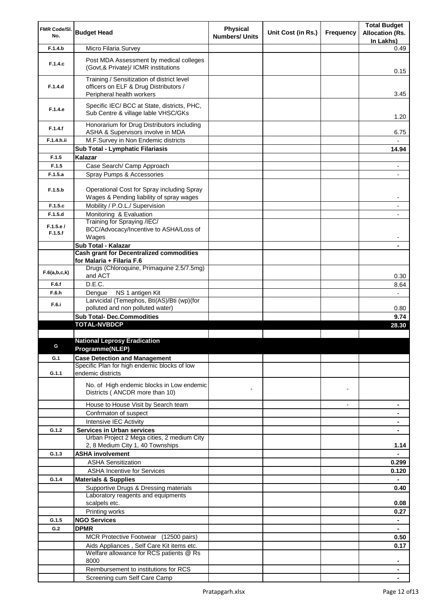| FMR Code/SI.        |                                                                                        | Physical              |                    |                | <b>Total Budget</b>                 |
|---------------------|----------------------------------------------------------------------------------------|-----------------------|--------------------|----------------|-------------------------------------|
| No.                 | <b>Budget Head</b>                                                                     | <b>Numbers/ Units</b> | Unit Cost (in Rs.) | Frequency      | <b>Allocation (Rs.</b><br>In Lakhs) |
| F.1.4.b             | Micro Filaria Survey                                                                   |                       |                    |                | 0.49                                |
|                     |                                                                                        |                       |                    |                |                                     |
| F.1.4.c             | Post MDA Assessment by medical colleges<br>(Govt, & Private)/ ICMR institutions        |                       |                    |                | 0.15                                |
| F.1.4.d             | Training / Sensitization of district level<br>officers on ELF & Drug Distributors /    |                       |                    |                |                                     |
|                     | Peripheral health workers                                                              |                       |                    |                | 3.45                                |
|                     | Specific IEC/ BCC at State, districts, PHC,                                            |                       |                    |                |                                     |
| F.1.4.e             | Sub Centre & village lable VHSC/GKs                                                    |                       |                    |                | 1.20                                |
| F.1.4.f             | Honorarium for Drug Distributors including<br>ASHA & Supervisors involve in MDA        |                       |                    |                | 6.75                                |
| F.1.4.h.ii          | M.F.Survey in Non Endemic districts                                                    |                       |                    |                |                                     |
|                     | Sub Total - Lymphatic Filariasis                                                       |                       |                    |                | 14.94                               |
| F.1.5               | Kalazar                                                                                |                       |                    |                |                                     |
| F.1.5               | Case Search/ Camp Approach                                                             |                       |                    |                | ۰                                   |
| F.1.5.a             | Spray Pumps & Accessories                                                              |                       |                    |                |                                     |
|                     |                                                                                        |                       |                    |                |                                     |
| F.1.5.b             | Operational Cost for Spray including Spray<br>Wages & Pending liability of spray wages |                       |                    |                | -                                   |
| F.1.5.c             | Mobility / P.O.L./ Supervision                                                         |                       |                    |                | ٠                                   |
| F.1.5.d             | Monitoring & Evaluation                                                                |                       |                    |                |                                     |
|                     | Training for Spraying /IEC/                                                            |                       |                    |                |                                     |
| F.1.5.e/<br>F.1.5.f | BCC/Advocacy/Incentive to ASHA/Loss of<br>Wages                                        |                       |                    |                |                                     |
|                     | Sub Total - Kalazar                                                                    |                       |                    |                |                                     |
|                     | <b>Cash grant for Decentralized commodities</b>                                        |                       |                    |                |                                     |
|                     | for Malaria + Filaria F.6                                                              |                       |                    |                |                                     |
| F.6(a,b,c,k)        | Drugs (Chloroquine, Primaquine 2.5/7.5mg)<br>and ACT                                   |                       |                    |                | 0.30                                |
| F.6.f               | D.E.C.                                                                                 |                       |                    |                | 8.64                                |
| F.6.h               | NS 1 antigen Kit<br>Dengue                                                             |                       |                    |                | $\overline{\phantom{0}}$            |
| F.6.i               | Larvicidal (Temephos, Bti(AS)/Bti (wp)(for                                             |                       |                    |                |                                     |
|                     | polluted and non polluted water)                                                       |                       |                    |                | 0.80                                |
|                     | <b>Sub Total- Dec.Commodities</b><br><b>TOTAL-NVBDCP</b>                               |                       |                    |                | 9.74                                |
|                     |                                                                                        |                       |                    |                | 28.30                               |
|                     | <b>National Leprosy Eradication</b>                                                    |                       |                    |                |                                     |
|                     | Programme(NLEP)                                                                        |                       |                    |                |                                     |
| G.1                 | <b>Case Detection and Management</b>                                                   |                       |                    |                |                                     |
|                     | Specific Plan for high endemic blocks of low                                           |                       |                    |                |                                     |
| G.1.1               | endemic districts                                                                      |                       |                    |                |                                     |
|                     | No. of High endemic blocks in Low endemic                                              |                       |                    |                |                                     |
|                     | Districts (ANCDR more than 10)                                                         |                       |                    | $\blacksquare$ |                                     |
|                     | House to House Visit by Search team                                                    |                       |                    | $\overline{a}$ | ۰                                   |
|                     | Confrmaton of suspect                                                                  |                       |                    |                |                                     |
|                     | Intensive IEC Activity                                                                 |                       |                    |                |                                     |
| G.1.2               | <b>Services in Urban services</b>                                                      |                       |                    |                |                                     |
|                     | Urban Project 2 Mega cities, 2 medium City                                             |                       |                    |                |                                     |
|                     | 2, 8 Medium City 1, 40 Townships                                                       |                       |                    |                | 1.14                                |
| G.1.3               | <b>ASHA involvement</b>                                                                |                       |                    |                | $\blacksquare$                      |
|                     | <b>ASHA Sensitization</b>                                                              |                       |                    |                | 0.299                               |
|                     | <b>ASHA Incentive for Services</b>                                                     |                       |                    |                | 0.120                               |
| G.1.4               | <b>Materials &amp; Supplies</b>                                                        |                       |                    |                | ۰                                   |
|                     | Supportive Drugs & Dressing materials<br>Laboratory reagents and equipments            |                       |                    |                | 0.40                                |
|                     | scalpels etc.                                                                          |                       |                    |                | 0.08                                |
|                     | Printing works                                                                         |                       |                    |                | 0.27                                |
| G.1.5               | <b>NGO Services</b>                                                                    |                       |                    |                | $\blacksquare$                      |
| G.2                 | <b>DPMR</b>                                                                            |                       |                    |                |                                     |
|                     | MCR Protective Footwear (12500 pairs)                                                  |                       |                    |                | 0.50                                |
|                     | Aids Appliances, Self Care Kit items etc.                                              |                       |                    |                | 0.17                                |
|                     | Welfare allowance for RCS patients @ Rs                                                |                       |                    |                |                                     |
|                     | 8000                                                                                   |                       |                    |                | ۰                                   |
|                     | Reimbursement to institutions for RCS                                                  |                       |                    |                |                                     |
|                     | Screening cum Self Care Camp                                                           |                       |                    |                |                                     |